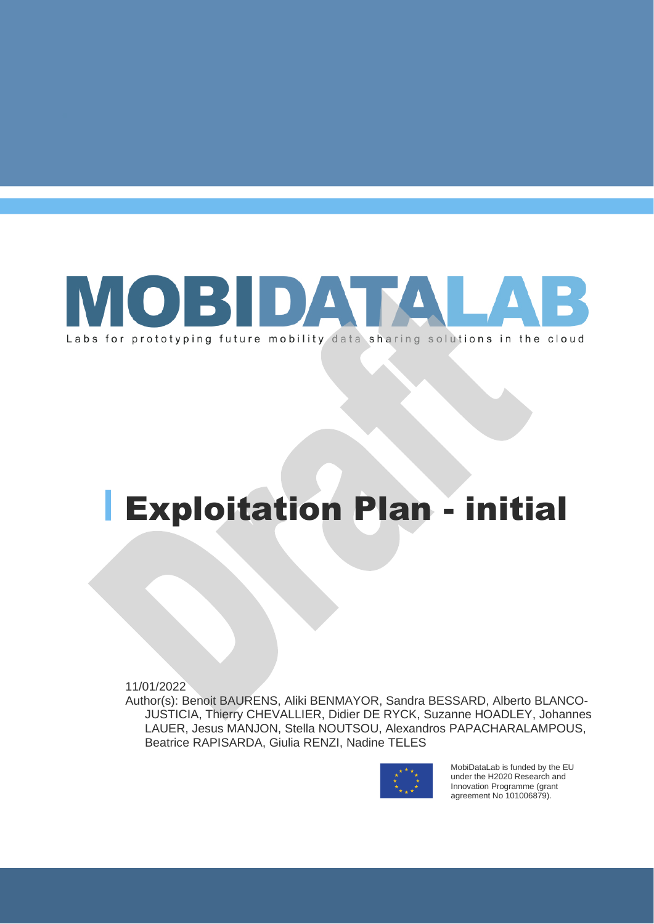

# Exploitation Plan - initial

11/01/2022

Author(s): Benoit BAURENS, Aliki BENMAYOR, Sandra BESSARD, Alberto BLANCO-JUSTICIA, Thierry CHEVALLIER, Didier DE RYCK, Suzanne HOADLEY, Johannes LAUER, Jesus MANJON, Stella NOUTSOU, Alexandros PAPACHARALAMPOUS, Beatrice RAPISARDA, Giulia RENZI, Nadine TELES



MobiDataLab is funded by the EU under the H2020 Research and Innovation Programme (grant agreement No 101006879).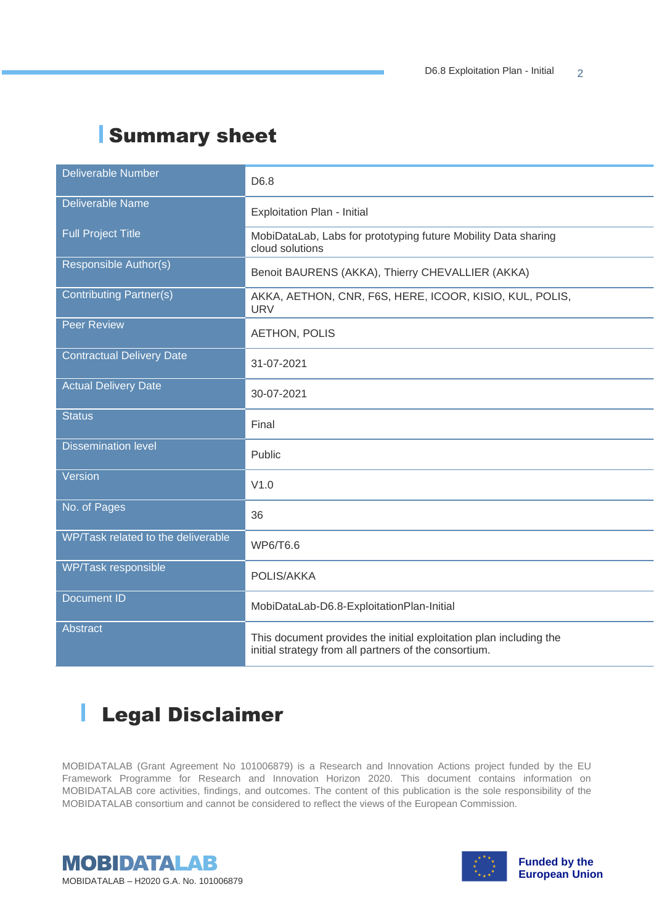## Summary sheet

| <b>Deliverable Number</b>          |                                                                                                                             |
|------------------------------------|-----------------------------------------------------------------------------------------------------------------------------|
|                                    | D6.8                                                                                                                        |
| <b>Deliverable Name</b>            |                                                                                                                             |
|                                    | Exploitation Plan - Initial                                                                                                 |
| <b>Full Project Title</b>          | MobiDataLab, Labs for prototyping future Mobility Data sharing                                                              |
|                                    | cloud solutions                                                                                                             |
| <b>Responsible Author(s)</b>       | Benoit BAURENS (AKKA), Thierry CHEVALLIER (AKKA)                                                                            |
|                                    |                                                                                                                             |
| <b>Contributing Partner(s)</b>     | AKKA, AETHON, CNR, F6S, HERE, ICOOR, KISIO, KUL, POLIS,                                                                     |
|                                    | <b>URV</b>                                                                                                                  |
| <b>Peer Review</b>                 | <b>AETHON, POLIS</b>                                                                                                        |
|                                    |                                                                                                                             |
| <b>Contractual Delivery Date</b>   | 31-07-2021                                                                                                                  |
|                                    |                                                                                                                             |
| <b>Actual Delivery Date</b>        | 30-07-2021                                                                                                                  |
|                                    |                                                                                                                             |
| <b>Status</b>                      | Final                                                                                                                       |
|                                    |                                                                                                                             |
| <b>Dissemination level</b>         | Public                                                                                                                      |
|                                    |                                                                                                                             |
| Version                            | V1.0                                                                                                                        |
| No. of Pages                       |                                                                                                                             |
|                                    | 36                                                                                                                          |
| WP/Task related to the deliverable |                                                                                                                             |
|                                    | WP6/T6.6                                                                                                                    |
| WP/Task responsible                |                                                                                                                             |
|                                    | POLIS/AKKA                                                                                                                  |
| <b>Document ID</b>                 |                                                                                                                             |
|                                    | MobiDataLab-D6.8-ExploitationPlan-Initial                                                                                   |
| <b>Abstract</b>                    |                                                                                                                             |
|                                    | This document provides the initial exploitation plan including the<br>initial strategy from all partners of the consortium. |
|                                    |                                                                                                                             |

#### I Legal Disclaimer

MOBIDATALAB (Grant Agreement No 101006879) is a Research and Innovation Actions project funded by the EU Framework Programme for Research and Innovation Horizon 2020. This document contains information on MOBIDATALAB core activities, findings, and outcomes. The content of this publication is the sole responsibility of the MOBIDATALAB consortium and cannot be considered to reflect the views of the European Commission.



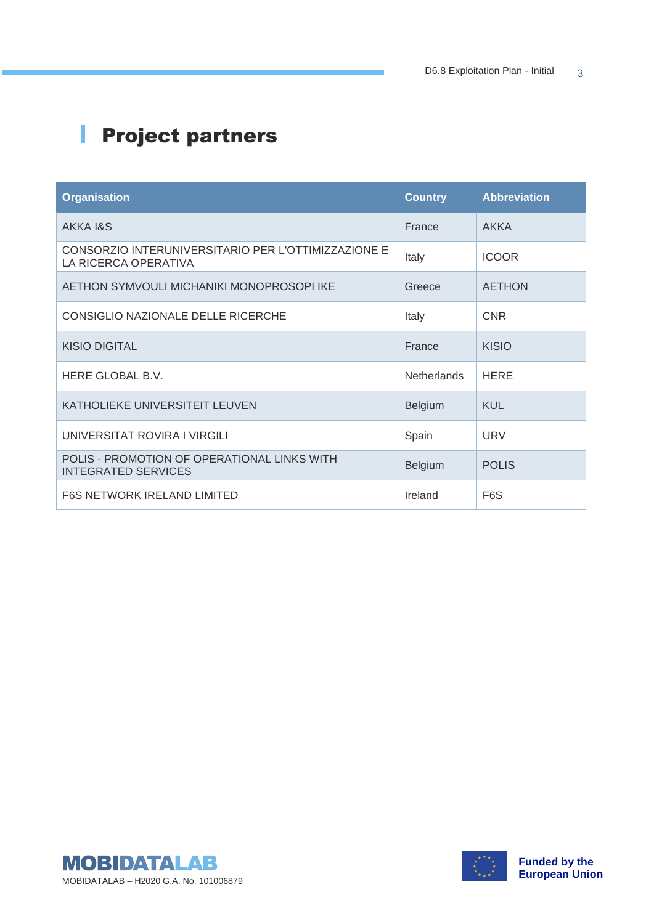## **Project partners**

| <b>Organisation</b>                                                         | <b>Country</b>     | <b>Abbreviation</b> |
|-----------------------------------------------------------------------------|--------------------|---------------------|
| AKKA 1&S                                                                    | France             | AKKA                |
| CONSORZIO INTERUNIVERSITARIO PER L'OTTIMIZZAZIONE E<br>LA RICERCA OPERATIVA | Italy              | <b>ICOOR</b>        |
| AETHON SYMVOULI MICHANIKI MONOPROSOPI IKE                                   | Greece             | <b>AETHON</b>       |
| CONSIGLIO NAZIONALE DELLE RICERCHE                                          | Italy              | <b>CNR</b>          |
| <b>KISIO DIGITAL</b>                                                        | France             | <b>KISIO</b>        |
| HERE GLOBAL B.V.                                                            | <b>Netherlands</b> | <b>HERE</b>         |
| KATHOLIEKE UNIVERSITEIT LEUVEN                                              | <b>Belgium</b>     | <b>KUL</b>          |
| UNIVERSITAT ROVIRA I VIRGILI                                                | Spain              | <b>URV</b>          |
| POLIS - PROMOTION OF OPERATIONAL LINKS WITH<br><b>INTEGRATED SERVICES</b>   | <b>Belgium</b>     | <b>POLIS</b>        |
| <b>F6S NETWORK IRELAND LIMITED</b>                                          | Ireland            | F <sub>6</sub> S    |



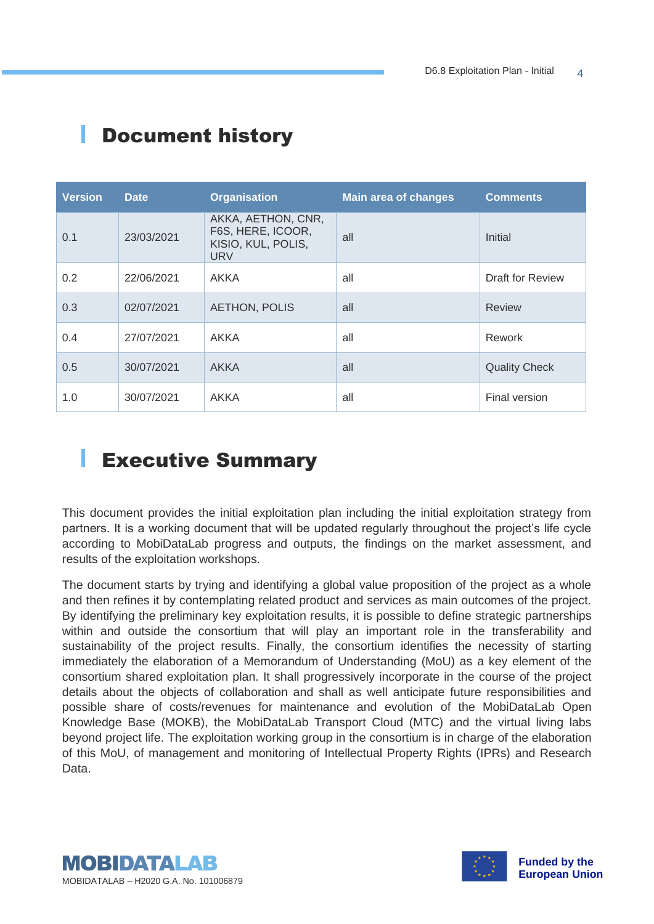| <b>Version</b> | <b>Date</b> | <b>Organisation</b>                                                         | <b>Main area of changes</b> | <b>Comments</b>         |
|----------------|-------------|-----------------------------------------------------------------------------|-----------------------------|-------------------------|
| 0.1            | 23/03/2021  | AKKA, AETHON, CNR,<br>F6S, HERE, ICOOR,<br>KISIO, KUL, POLIS,<br><b>URV</b> | all                         | Initial                 |
| 0.2            | 22/06/2021  | <b>AKKA</b>                                                                 | all                         | <b>Draft for Review</b> |
| 0.3            | 02/07/2021  | <b>AETHON, POLIS</b>                                                        | all                         | <b>Review</b>           |
| 0.4            | 27/07/2021  | <b>AKKA</b>                                                                 | all                         | Rework                  |
| 0.5            | 30/07/2021  | <b>AKKA</b>                                                                 | all                         | <b>Quality Check</b>    |
| 1.0            | 30/07/2021  | <b>AKKA</b>                                                                 | all                         | Final version           |

## Document history

ı

## Executive Summary

This document provides the initial exploitation plan including the initial exploitation strategy from partners. It is a working document that will be updated regularly throughout the project's life cycle according to MobiDataLab progress and outputs, the findings on the market assessment, and results of the exploitation workshops.

The document starts by trying and identifying a global value proposition of the project as a whole and then refines it by contemplating related product and services as main outcomes of the project. By identifying the preliminary key exploitation results, it is possible to define strategic partnerships within and outside the consortium that will play an important role in the transferability and sustainability of the project results. Finally, the consortium identifies the necessity of starting immediately the elaboration of a Memorandum of Understanding (MoU) as a key element of the consortium shared exploitation plan. It shall progressively incorporate in the course of the project details about the objects of collaboration and shall as well anticipate future responsibilities and possible share of costs/revenues for maintenance and evolution of the MobiDataLab Open Knowledge Base (MOKB), the MobiDataLab Transport Cloud (MTC) and the virtual living labs beyond project life. The exploitation working group in the consortium is in charge of the elaboration of this MoU, of management and monitoring of Intellectual Property Rights (IPRs) and Research Data.



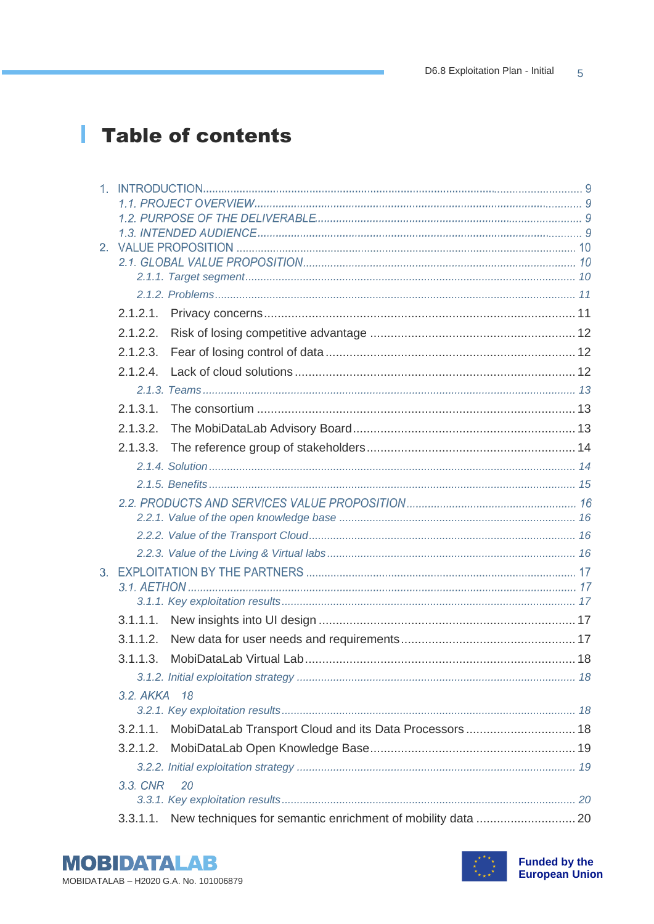## Table of contents

| 2.1.2.2.     |    |  |
|--------------|----|--|
| 2.1.2.3.     |    |  |
| 2.1.2.4      |    |  |
|              |    |  |
| 2.1.3.1.     |    |  |
| 2.1.3.2.     |    |  |
| 2.1.3.3.     |    |  |
|              |    |  |
|              |    |  |
|              |    |  |
|              |    |  |
|              |    |  |
|              |    |  |
|              |    |  |
|              |    |  |
|              |    |  |
|              |    |  |
| 3.1.1.2.     |    |  |
| 3.1.1.3.     |    |  |
|              |    |  |
| 3.2. AKKA 18 |    |  |
|              |    |  |
| 3.2.1.1.     |    |  |
| 3.2.1.2.     |    |  |
|              |    |  |
| 3.3. CNR     | 20 |  |
|              |    |  |
| 3.3.1.1.     |    |  |



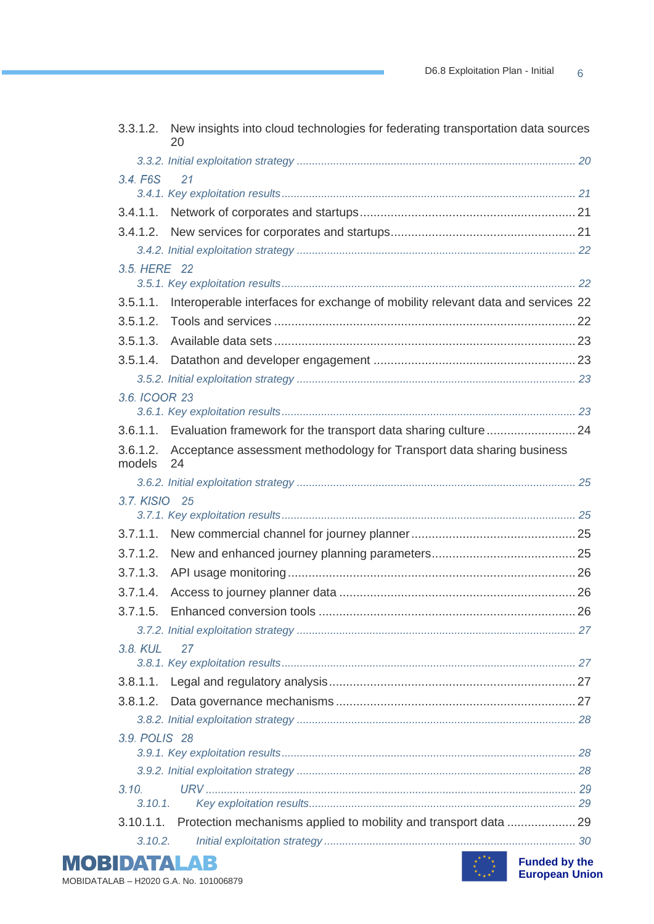|                    | 3.3.1.2. New insights into cloud technologies for federating transportation data sources<br>20 |  |
|--------------------|------------------------------------------------------------------------------------------------|--|
|                    |                                                                                                |  |
| 3.4. F6S           | 21                                                                                             |  |
|                    |                                                                                                |  |
|                    |                                                                                                |  |
|                    |                                                                                                |  |
|                    |                                                                                                |  |
| 3.5. HERE 22       |                                                                                                |  |
|                    |                                                                                                |  |
| 3.5.1.1.           | Interoperable interfaces for exchange of mobility relevant data and services 22                |  |
| 3.5.1.2.           |                                                                                                |  |
| 3.5.1.3.           |                                                                                                |  |
|                    |                                                                                                |  |
|                    |                                                                                                |  |
| 3.6. ICOOR 23      |                                                                                                |  |
|                    |                                                                                                |  |
|                    | 3.6.1.1. Evaluation framework for the transport data sharing culture  24                       |  |
| 3.6.1.2.<br>models | Acceptance assessment methodology for Transport data sharing business<br>24                    |  |
|                    |                                                                                                |  |
| 3.7. KISIO 25      |                                                                                                |  |
|                    |                                                                                                |  |
| 3.7.1.1.           |                                                                                                |  |
| 3.7.1.2.           |                                                                                                |  |
| 3.7.1.3.           |                                                                                                |  |
| 3.7.1.4.           |                                                                                                |  |
|                    |                                                                                                |  |
|                    |                                                                                                |  |
| 3.8. KUL           | 27                                                                                             |  |
|                    |                                                                                                |  |
|                    |                                                                                                |  |
|                    |                                                                                                |  |
|                    |                                                                                                |  |
| 3.9. POLIS 28      |                                                                                                |  |
|                    |                                                                                                |  |
| 3.10.              |                                                                                                |  |
| 3.10.1.            |                                                                                                |  |
|                    | 3.10.1.1. Protection mechanisms applied to mobility and transport data  29                     |  |
| 3.10.2.            |                                                                                                |  |
|                    |                                                                                                |  |

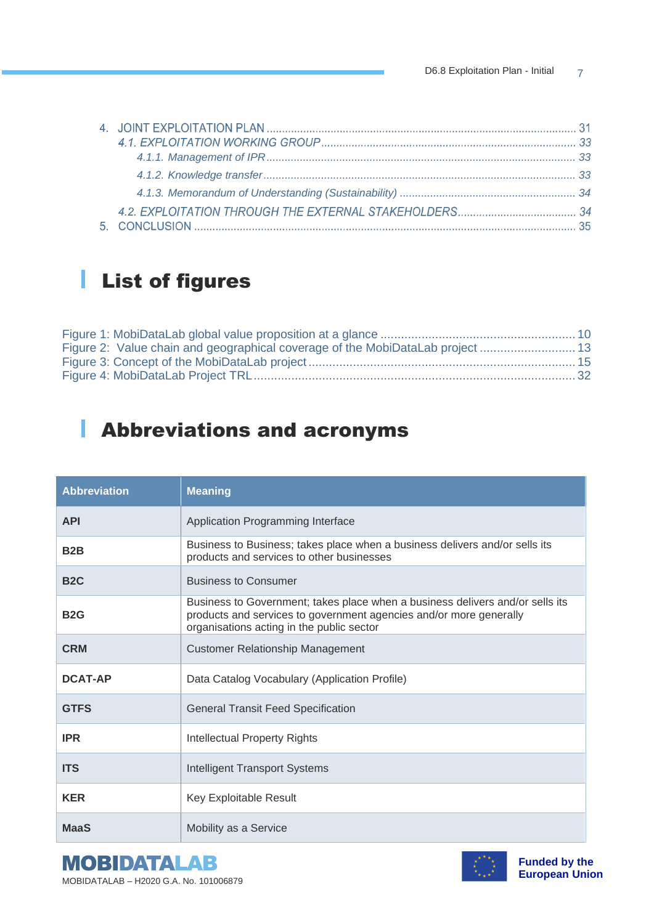## List of figures

| Figure 2: Value chain and geographical coverage of the MobiDataLab project 13 |  |
|-------------------------------------------------------------------------------|--|
|                                                                               |  |
|                                                                               |  |
|                                                                               |  |

## Abbreviations and acronyms

| <b>Abbreviation</b> | <b>Meaning</b>                                                                                                                                                                                   |
|---------------------|--------------------------------------------------------------------------------------------------------------------------------------------------------------------------------------------------|
| <b>API</b>          | Application Programming Interface                                                                                                                                                                |
| B <sub>2</sub> B    | Business to Business; takes place when a business delivers and/or sells its<br>products and services to other businesses                                                                         |
| B <sub>2</sub> C    | <b>Business to Consumer</b>                                                                                                                                                                      |
| <b>B2G</b>          | Business to Government; takes place when a business delivers and/or sells its<br>products and services to government agencies and/or more generally<br>organisations acting in the public sector |
| <b>CRM</b>          | <b>Customer Relationship Management</b>                                                                                                                                                          |
| <b>DCAT-AP</b>      | Data Catalog Vocabulary (Application Profile)                                                                                                                                                    |
| <b>GTFS</b>         | <b>General Transit Feed Specification</b>                                                                                                                                                        |
| <b>IPR</b>          | <b>Intellectual Property Rights</b>                                                                                                                                                              |
| <b>ITS</b>          | <b>Intelligent Transport Systems</b>                                                                                                                                                             |
| <b>KER</b>          | Key Exploitable Result                                                                                                                                                                           |
| <b>MaaS</b>         | Mobility as a Service                                                                                                                                                                            |

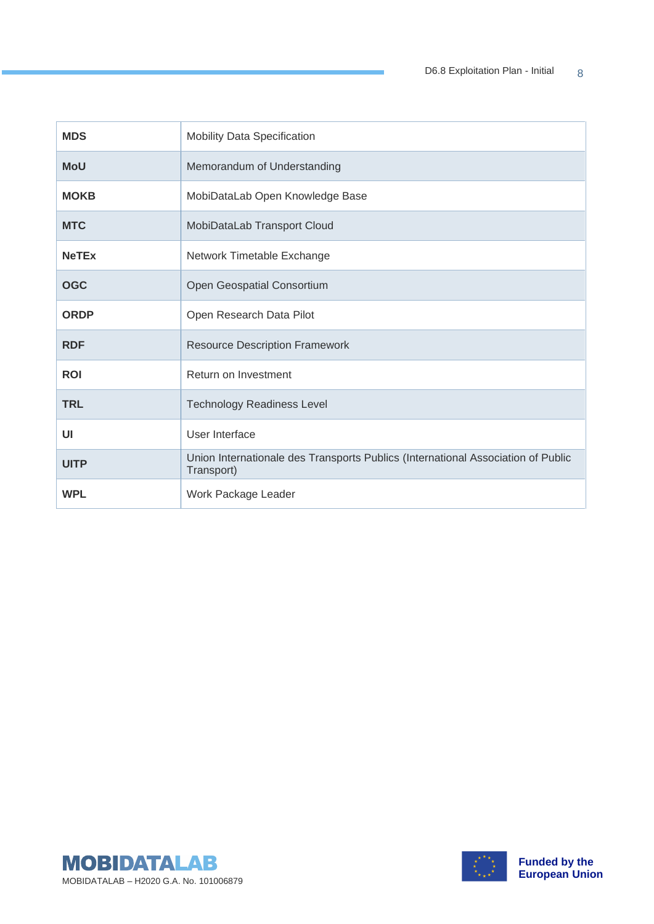| <b>MDS</b>   | <b>Mobility Data Specification</b>                                                             |
|--------------|------------------------------------------------------------------------------------------------|
| <b>MoU</b>   | Memorandum of Understanding                                                                    |
| <b>MOKB</b>  | MobiDataLab Open Knowledge Base                                                                |
| <b>MTC</b>   | MobiDataLab Transport Cloud                                                                    |
| <b>NeTEx</b> | Network Timetable Exchange                                                                     |
| <b>OGC</b>   | Open Geospatial Consortium                                                                     |
| <b>ORDP</b>  | Open Research Data Pilot                                                                       |
| <b>RDF</b>   | <b>Resource Description Framework</b>                                                          |
| <b>ROI</b>   | Return on Investment                                                                           |
| <b>TRL</b>   | <b>Technology Readiness Level</b>                                                              |
| UI           | User Interface                                                                                 |
| <b>UITP</b>  | Union Internationale des Transports Publics (International Association of Public<br>Transport) |
| <b>WPL</b>   | Work Package Leader                                                                            |



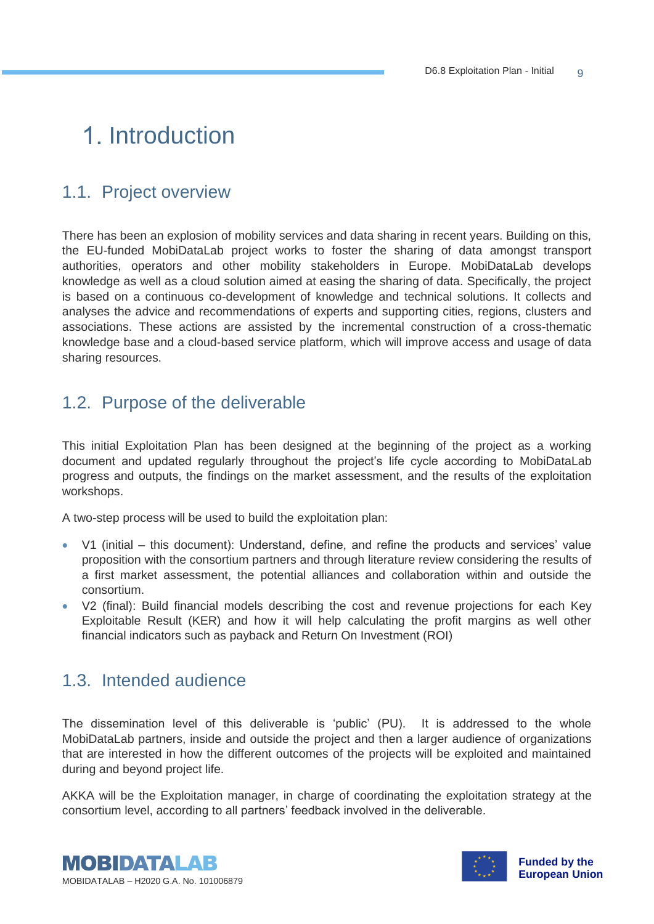## 1. Introduction

## 1.1. Project overview

There has been an explosion of mobility services and data sharing in recent years. Building on this, the EU-funded MobiDataLab project works to foster the sharing of data amongst transport authorities, operators and other mobility stakeholders in Europe. MobiDataLab develops knowledge as well as a cloud solution aimed at easing the sharing of data. Specifically, the project is based on a continuous co-development of knowledge and technical solutions. It collects and analyses the advice and recommendations of experts and supporting cities, regions, clusters and associations. These actions are assisted by the incremental construction of a cross-thematic knowledge base and a cloud-based service platform, which will improve access and usage of data sharing resources.

#### <span id="page-8-0"></span>1.2. Purpose of the deliverable

This initial Exploitation Plan has been designed at the beginning of the project as a working document and updated regularly throughout the project's life cycle according to MobiDataLab progress and outputs, the findings on the market assessment, and the results of the exploitation workshops.

A two-step process will be used to build the exploitation plan:

- V1 (initial this document): Understand, define, and refine the products and services' value proposition with the consortium partners and through literature review considering the results of a first market assessment, the potential alliances and collaboration within and outside the consortium.
- V2 (final): Build financial models describing the cost and revenue projections for each Key Exploitable Result (KER) and how it will help calculating the profit margins as well other financial indicators such as payback and Return On Investment (ROI)

#### 1.3. Intended audience

The dissemination level of this deliverable is 'public' (PU). It is addressed to the whole MobiDataLab partners, inside and outside the project and then a larger audience of organizations that are interested in how the different outcomes of the projects will be exploited and maintained during and beyond project life.

AKKA will be the Exploitation manager, in charge of coordinating the exploitation strategy at the consortium level, according to all partners' feedback involved in the deliverable.



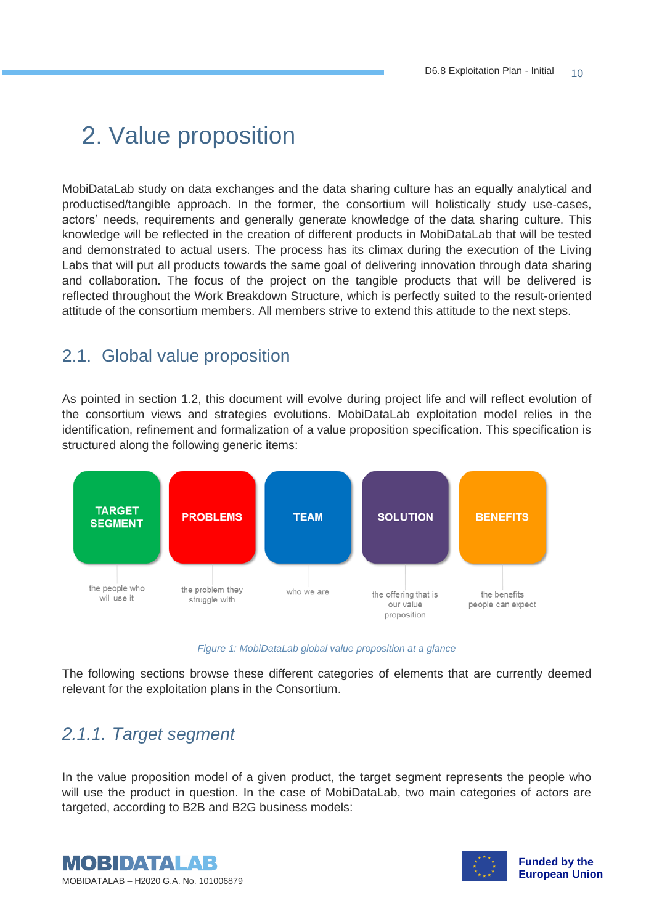## 2. Value proposition

MobiDataLab study on data exchanges and the data sharing culture has an equally analytical and productised/tangible approach. In the former, the consortium will holistically study use-cases, actors' needs, requirements and generally generate knowledge of the data sharing culture. This knowledge will be reflected in the creation of different products in MobiDataLab that will be tested and demonstrated to actual users. The process has its climax during the execution of the Living Labs that will put all products towards the same goal of delivering innovation through data sharing and collaboration. The focus of the project on the tangible products that will be delivered is reflected throughout the Work Breakdown Structure, which is perfectly suited to the result-oriented attitude of the consortium members. All members strive to extend this attitude to the next steps.

#### 2.1. Global value proposition

As pointed in section [1.2,](#page-8-0) this document will evolve during project life and will reflect evolution of the consortium views and strategies evolutions. MobiDataLab exploitation model relies in the identification, refinement and formalization of a value proposition specification. This specification is structured along the following generic items:



*Figure 1: MobiDataLab global value proposition at a glance*

<span id="page-9-1"></span>The following sections browse these different categories of elements that are currently deemed relevant for the exploitation plans in the Consortium.

## <span id="page-9-0"></span>*2.1.1. Target segment*

In the value proposition model of a given product, the target segment represents the people who will use the product in question. In the case of MobiDataLab, two main categories of actors are targeted, according to B2B and B2G business models:



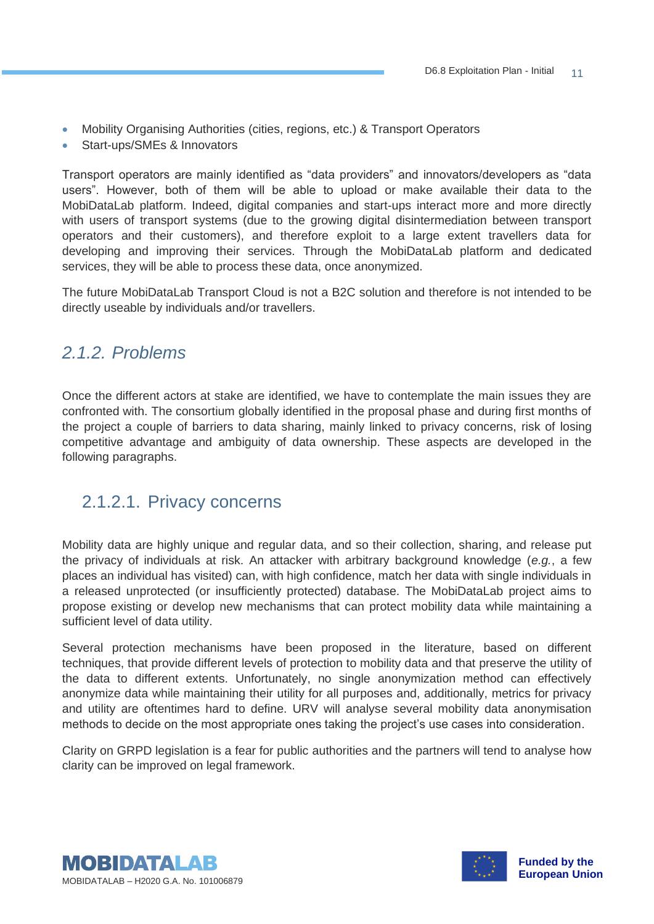- Mobility Organising Authorities (cities, regions, etc.) & Transport Operators
- Start-ups/SMEs & Innovators

Transport operators are mainly identified as "data providers" and innovators/developers as "data users". However, both of them will be able to upload or make available their data to the MobiDataLab platform. Indeed, digital companies and start-ups interact more and more directly with users of transport systems (due to the growing digital disintermediation between transport operators and their customers), and therefore exploit to a large extent travellers data for developing and improving their services. Through the MobiDataLab platform and dedicated services, they will be able to process these data, once anonymized.

The future MobiDataLab Transport Cloud is not a B2C solution and therefore is not intended to be directly useable by individuals and/or travellers.

#### <span id="page-10-0"></span>*2.1.2. Problems*

Once the different actors at stake are identified, we have to contemplate the main issues they are confronted with. The consortium globally identified in the proposal phase and during first months of the project a couple of barriers to data sharing, mainly linked to privacy concerns, risk of losing competitive advantage and ambiguity of data ownership. These aspects are developed in the following paragraphs.

#### <span id="page-10-1"></span>2.1.2.1. Privacy concerns

Mobility data are highly unique and regular data, and so their collection, sharing, and release put the privacy of individuals at risk. An attacker with arbitrary background knowledge (*e.g.*, a few places an individual has visited) can, with high confidence, match her data with single individuals in a released unprotected (or insufficiently protected) database. The MobiDataLab project aims to propose existing or develop new mechanisms that can protect mobility data while maintaining a sufficient level of data utility.

Several protection mechanisms have been proposed in the literature, based on different techniques, that provide different levels of protection to mobility data and that preserve the utility of the data to different extents. Unfortunately, no single anonymization method can effectively anonymize data while maintaining their utility for all purposes and, additionally, metrics for privacy and utility are oftentimes hard to define. URV will analyse several mobility data anonymisation methods to decide on the most appropriate ones taking the project's use cases into consideration.

Clarity on GRPD legislation is a fear for public authorities and the partners will tend to analyse how clarity can be improved on legal framework.



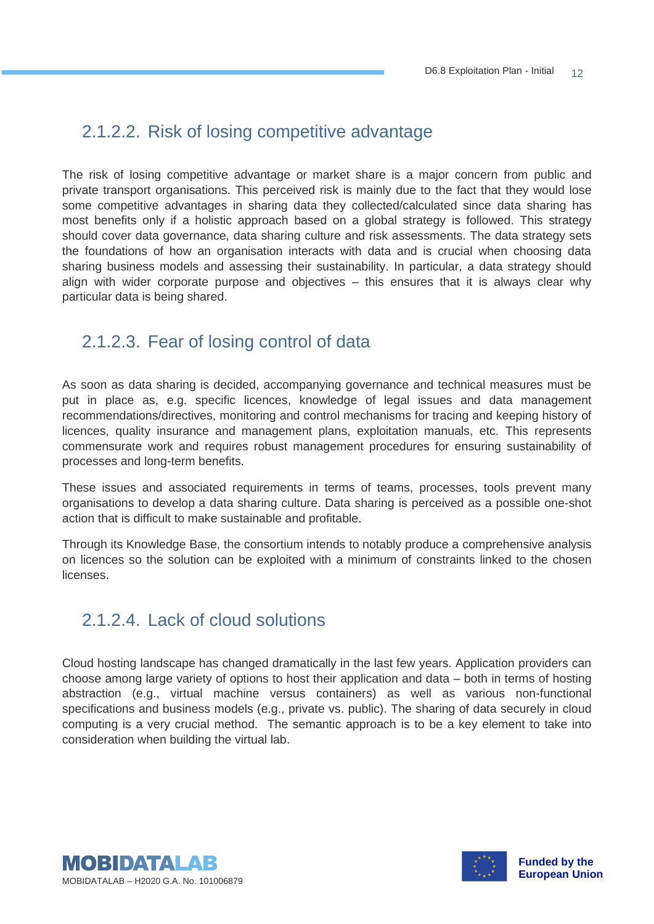#### <span id="page-11-0"></span>2.1.2.2. Risk of losing competitive advantage

The risk of losing competitive advantage or market share is a major concern from public and private transport organisations. This perceived risk is mainly due to the fact that they would lose some competitive advantages in sharing data they collected/calculated since data sharing has most benefits only if a holistic approach based on a global strategy is followed. This strategy should cover data governance, data sharing culture and risk assessments. The data strategy sets the foundations of how an organisation interacts with data and is crucial when choosing data sharing business models and assessing their sustainability. In particular, a data strategy should align with wider corporate purpose and objectives – this ensures that it is always clear why particular data is being shared.

#### <span id="page-11-1"></span>2.1.2.3. Fear of losing control of data

As soon as data sharing is decided, accompanying governance and technical measures must be put in place as, e.g. specific licences, knowledge of legal issues and data management recommendations/directives, monitoring and control mechanisms for tracing and keeping history of licences, quality insurance and management plans, exploitation manuals, etc. This represents commensurate work and requires robust management procedures for ensuring sustainability of processes and long-term benefits.

These issues and associated requirements in terms of teams, processes, tools prevent many organisations to develop a data sharing culture. Data sharing is perceived as a possible one-shot action that is difficult to make sustainable and profitable.

Through its Knowledge Base, the consortium intends to notably produce a comprehensive analysis on licences so the solution can be exploited with a minimum of constraints linked to the chosen licenses.

## <span id="page-11-2"></span>2.1.2.4. Lack of cloud solutions

Cloud hosting landscape has changed dramatically in the last few years. Application providers can choose among large variety of options to host their application and data – both in terms of hosting abstraction (e.g., virtual machine versus containers) as well as various non-functional specifications and business models (e.g., private vs. public). The sharing of data securely in cloud computing is a very crucial method. The semantic approach is to be a key element to take into consideration when building the virtual lab.



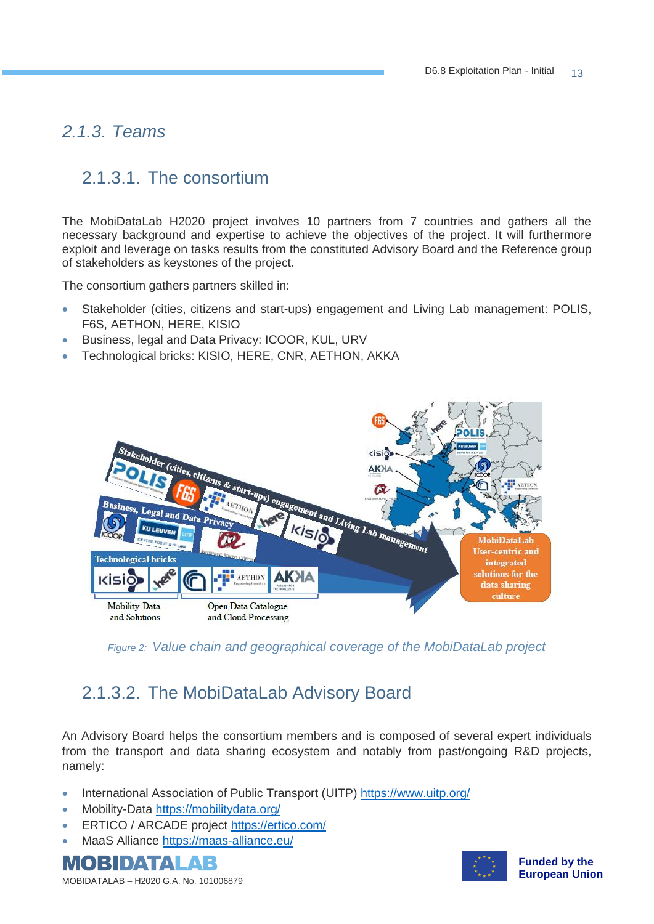#### <span id="page-12-0"></span>*2.1.3. Teams*

### <span id="page-12-1"></span>2.1.3.1. The consortium

The MobiDataLab H2020 project involves 10 partners from 7 countries and gathers all the necessary background and expertise to achieve the objectives of the project. It will furthermore exploit and leverage on tasks results from the constituted Advisory Board and the Reference group of stakeholders as keystones of the project.

The consortium gathers partners skilled in:

- Stakeholder (cities, citizens and start-ups) engagement and Living Lab management: POLIS, F6S, AETHON, HERE, KISIO
- Business, legal and Data Privacy: ICOOR, KUL, URV
- Technological bricks: KISIO, HERE, CNR, AETHON, AKKA



<span id="page-12-3"></span>*Figure 2: Value chain and geographical coverage of the MobiDataLab project*

## <span id="page-12-2"></span>2.1.3.2. The MobiDataLab Advisory Board

An Advisory Board helps the consortium members and is composed of several expert individuals from the transport and data sharing ecosystem and notably from past/ongoing R&D projects, namely:

- International Association of Public Transport (UITP) <https://www.uitp.org/>
- Mobility-Data <https://mobilitydata.org/>
- ERTICO / ARCADE project <https://ertico.com/>
- MaaS Alliance <https://maas-alliance.eu/>



MOBIDATALAB – H2020 G.A. No. 101006879

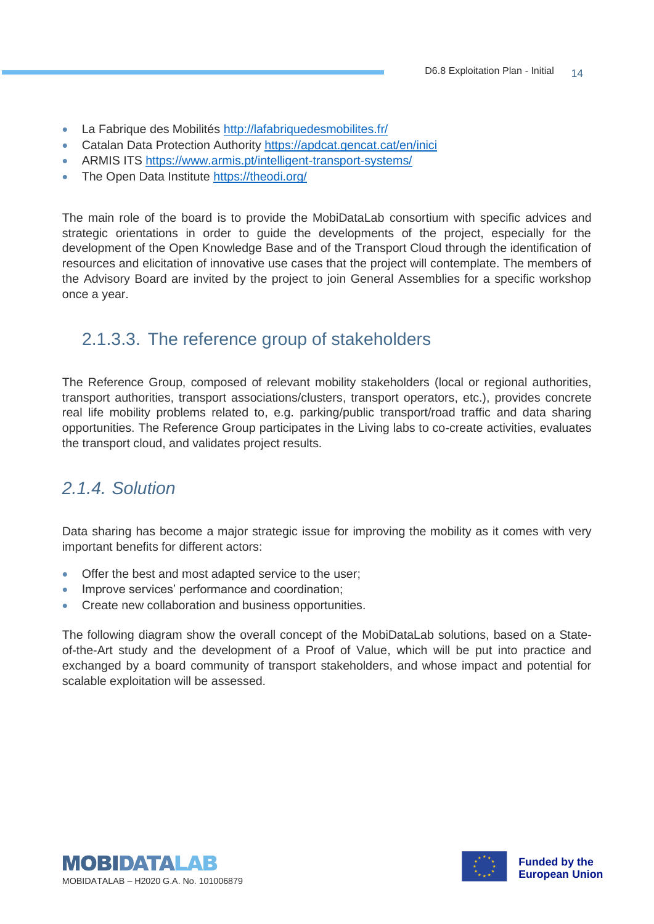- La Fabrique des Mobilités <http://lafabriquedesmobilites.fr/>
- Catalan Data Protection Authority <https://apdcat.gencat.cat/en/inici>
- ARMIS ITS <https://www.armis.pt/intelligent-transport-systems/>
- The Open Data Institute <https://theodi.org/>

The main role of the board is to provide the MobiDataLab consortium with specific advices and strategic orientations in order to guide the developments of the project, especially for the development of the Open Knowledge Base and of the Transport Cloud through the identification of resources and elicitation of innovative use cases that the project will contemplate. The members of the Advisory Board are invited by the project to join General Assemblies for a specific workshop once a year.

## <span id="page-13-0"></span>2.1.3.3. The reference group of stakeholders

The Reference Group, composed of relevant mobility stakeholders (local or regional authorities, transport authorities, transport associations/clusters, transport operators, etc.), provides concrete real life mobility problems related to, e.g. parking/public transport/road traffic and data sharing opportunities. The Reference Group participates in the Living labs to co-create activities, evaluates the transport cloud, and validates project results.

## <span id="page-13-1"></span>*2.1.4. Solution*

Data sharing has become a major strategic issue for improving the mobility as it comes with very important benefits for different actors:

- Offer the best and most adapted service to the user;
- Improve services' performance and coordination;
- Create new collaboration and business opportunities.

The following diagram show the overall concept of the MobiDataLab solutions, based on a Stateof-the-Art study and the development of a Proof of Value, which will be put into practice and exchanged by a board community of transport stakeholders, and whose impact and potential for scalable exploitation will be assessed.



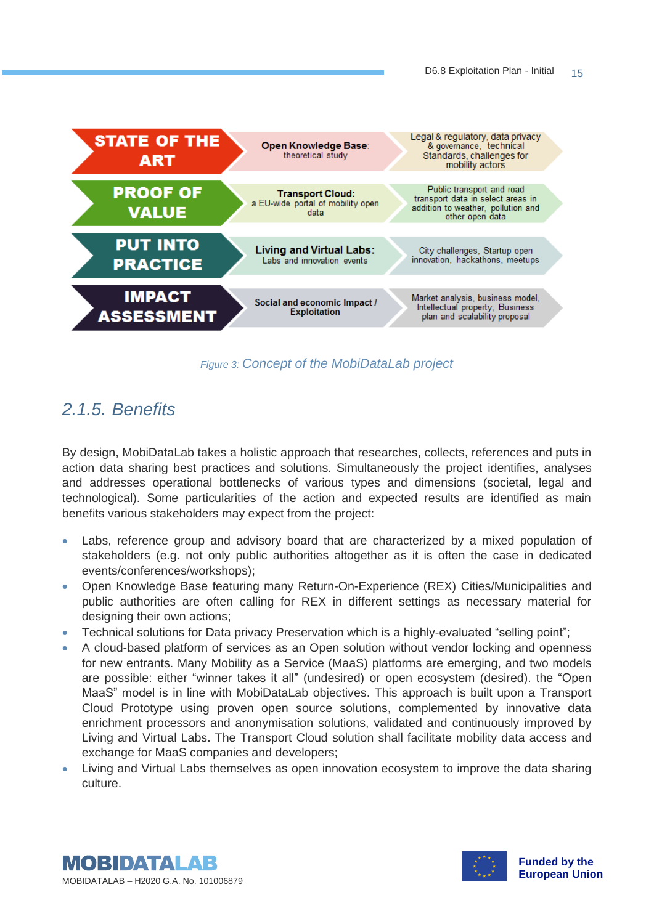

*Figure 3: Concept of the MobiDataLab project*

## <span id="page-14-1"></span><span id="page-14-0"></span>*2.1.5. Benefits*

By design, MobiDataLab takes a holistic approach that researches, collects, references and puts in action data sharing best practices and solutions. Simultaneously the project identifies, analyses and addresses operational bottlenecks of various types and dimensions (societal, legal and technological). Some particularities of the action and expected results are identified as main benefits various stakeholders may expect from the project:

- Labs, reference group and advisory board that are characterized by a mixed population of stakeholders (e.g. not only public authorities altogether as it is often the case in dedicated events/conferences/workshops);
- Open Knowledge Base featuring many Return-On-Experience (REX) Cities/Municipalities and public authorities are often calling for REX in different settings as necessary material for designing their own actions;
- Technical solutions for Data privacy Preservation which is a highly-evaluated "selling point";
- A cloud-based platform of services as an Open solution without vendor locking and openness for new entrants. Many Mobility as a Service (MaaS) platforms are emerging, and two models are possible: either "winner takes it all" (undesired) or open ecosystem (desired). the "Open MaaS" model is in line with MobiDataLab objectives. This approach is built upon a Transport Cloud Prototype using proven open source solutions, complemented by innovative data enrichment processors and anonymisation solutions, validated and continuously improved by Living and Virtual Labs. The Transport Cloud solution shall facilitate mobility data access and exchange for MaaS companies and developers;
- Living and Virtual Labs themselves as open innovation ecosystem to improve the data sharing culture.



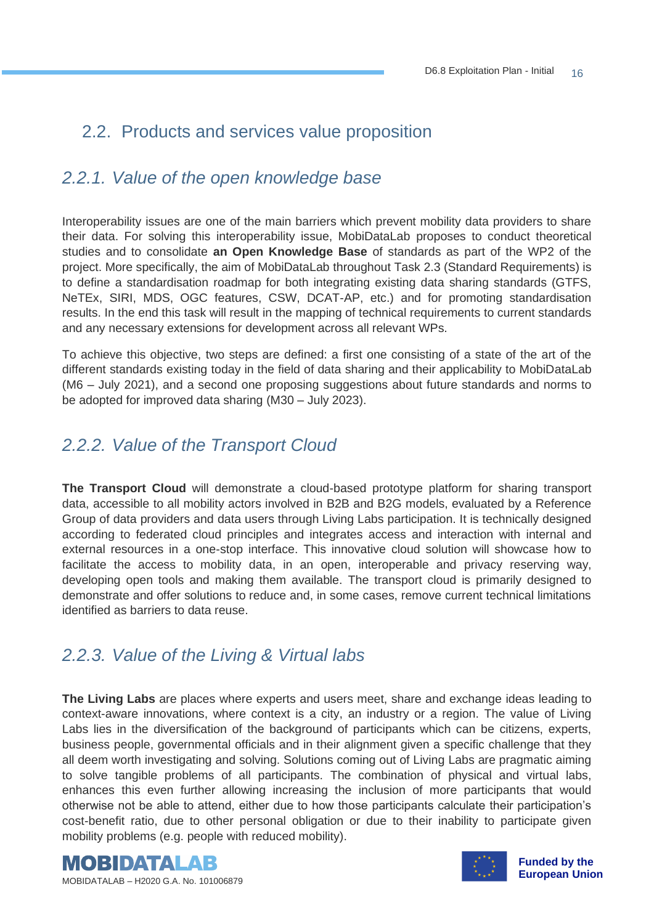### 2.2. Products and services value proposition

## <span id="page-15-0"></span>*2.2.1. Value of the open knowledge base*

Interoperability issues are one of the main barriers which prevent mobility data providers to share their data. For solving this interoperability issue, MobiDataLab proposes to conduct theoretical studies and to consolidate **an Open Knowledge Base** of standards as part of the WP2 of the project. More specifically, the aim of MobiDataLab throughout Task 2.3 (Standard Requirements) is to define a standardisation roadmap for both integrating existing data sharing standards (GTFS, NeTEx, SIRI, MDS, OGC features, CSW, DCAT-AP, etc.) and for promoting standardisation results. In the end this task will result in the mapping of technical requirements to current standards and any necessary extensions for development across all relevant WPs.

To achieve this objective, two steps are defined: a first one consisting of a state of the art of the different standards existing today in the field of data sharing and their applicability to MobiDataLab (M6 – July 2021), and a second one proposing suggestions about future standards and norms to be adopted for improved data sharing (M30 – July 2023).

#### <span id="page-15-1"></span>*2.2.2. Value of the Transport Cloud*

**The Transport Cloud** will demonstrate a cloud-based prototype platform for sharing transport data, accessible to all mobility actors involved in B2B and B2G models, evaluated by a Reference Group of data providers and data users through Living Labs participation. It is technically designed according to federated cloud principles and integrates access and interaction with internal and external resources in a one-stop interface. This innovative cloud solution will showcase how to facilitate the access to mobility data, in an open, interoperable and privacy reserving way, developing open tools and making them available. The transport cloud is primarily designed to demonstrate and offer solutions to reduce and, in some cases, remove current technical limitations identified as barriers to data reuse.

#### <span id="page-15-2"></span>*2.2.3. Value of the Living & Virtual labs*

**The Living Labs** are places where experts and users meet, share and exchange ideas leading to context-aware innovations, where context is a city, an industry or a region. The value of Living Labs lies in the diversification of the background of participants which can be citizens, experts, business people, governmental officials and in their alignment given a specific challenge that they all deem worth investigating and solving. Solutions coming out of Living Labs are pragmatic aiming to solve tangible problems of all participants. The combination of physical and virtual labs, enhances this even further allowing increasing the inclusion of more participants that would otherwise not be able to attend, either due to how those participants calculate their participation's cost-benefit ratio, due to other personal obligation or due to their inability to participate given mobility problems (e.g. people with reduced mobility).





**Funded by the European Union**

MOBIDATALAB – H2020 G.A. No. 101006879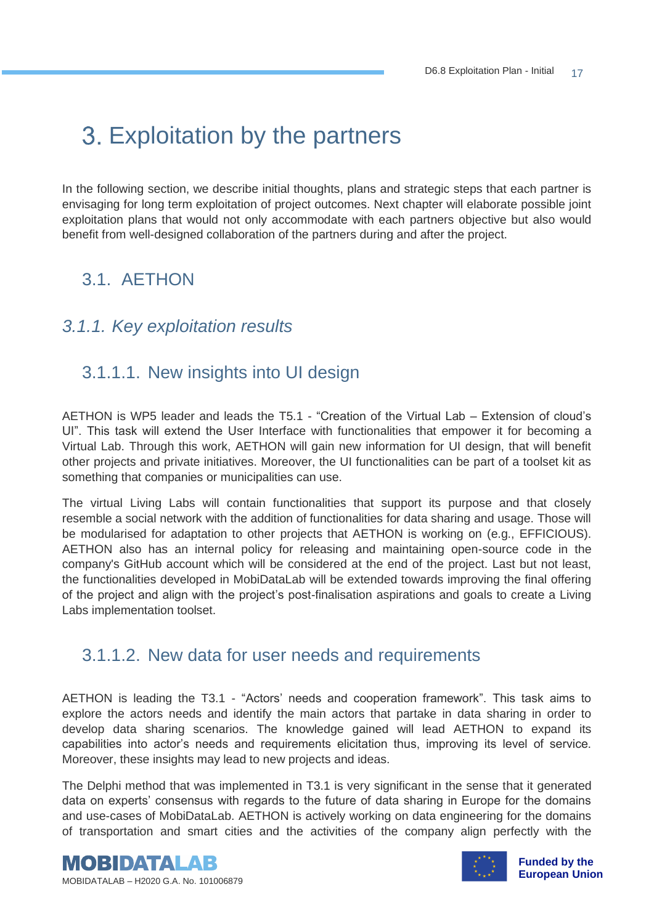## 3. Exploitation by the partners

In the following section, we describe initial thoughts, plans and strategic steps that each partner is envisaging for long term exploitation of project outcomes. Next chapter will elaborate possible joint exploitation plans that would not only accommodate with each partners objective but also would benefit from well-designed collaboration of the partners during and after the project.

## 3.1. AETHON

#### <span id="page-16-0"></span>*3.1.1. Key exploitation results*

## <span id="page-16-1"></span>3.1.1.1. New insights into UI design

AETHON is WP5 leader and leads the T5.1 - "Creation of the Virtual Lab – Extension of cloud's UI". This task will extend the User Interface with functionalities that empower it for becoming a Virtual Lab. Through this work, AETHON will gain new information for UI design, that will benefit other projects and private initiatives. Moreover, the UI functionalities can be part of a toolset kit as something that companies or municipalities can use.

The virtual Living Labs will contain functionalities that support its purpose and that closely resemble a social network with the addition of functionalities for data sharing and usage. Those will be modularised for adaptation to other projects that AETHON is working on (e.g., EFFICIOUS). AETHON also has an internal policy for releasing and maintaining open-source code in the company's GitHub account which will be considered at the end of the project. Last but not least, the functionalities developed in MobiDataLab will be extended towards improving the final offering of the project and align with the project's post-finalisation aspirations and goals to create a Living Labs implementation toolset.

#### <span id="page-16-2"></span>3.1.1.2. New data for user needs and requirements

AETHON is leading the T3.1 - "Actors' needs and cooperation framework". This task aims to explore the actors needs and identify the main actors that partake in data sharing in order to develop data sharing scenarios. The knowledge gained will lead AETHON to expand its capabilities into actor's needs and requirements elicitation thus, improving its level of service. Moreover, these insights may lead to new projects and ideas.

The Delphi method that was implemented in T3.1 is very significant in the sense that it generated data on experts' consensus with regards to the future of data sharing in Europe for the domains and use-cases of MobiDataLab. AETHON is actively working on data engineering for the domains of transportation and smart cities and the activities of the company align perfectly with the



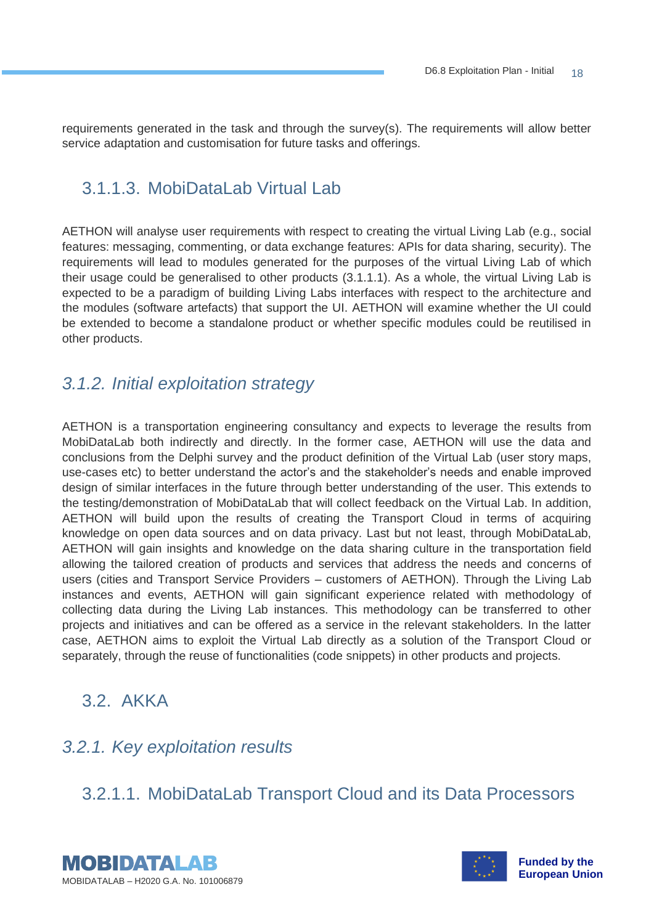requirements generated in the task and through the survey(s). The requirements will allow better service adaptation and customisation for future tasks and offerings.

## <span id="page-17-0"></span>3.1.1.3. MobiDataLab Virtual Lab

AETHON will analyse user requirements with respect to creating the virtual Living Lab (e.g., social features: messaging, commenting, or data exchange features: APIs for data sharing, security). The requirements will lead to modules generated for the purposes of the virtual Living Lab of which their usage could be generalised to other products (3.1.1.1). As a whole, the virtual Living Lab is expected to be a paradigm of building Living Labs interfaces with respect to the architecture and the modules (software artefacts) that support the UI. AETHON will examine whether the UI could be extended to become a standalone product or whether specific modules could be reutilised in other products.

## <span id="page-17-1"></span>*3.1.2. Initial exploitation strategy*

AETHON is a transportation engineering consultancy and expects to leverage the results from MobiDataLab both indirectly and directly. In the former case, AETHON will use the data and conclusions from the Delphi survey and the product definition of the Virtual Lab (user story maps, use-cases etc) to better understand the actor's and the stakeholder's needs and enable improved design of similar interfaces in the future through better understanding of the user. This extends to the testing/demonstration of MobiDataLab that will collect feedback on the Virtual Lab. In addition, AETHON will build upon the results of creating the Transport Cloud in terms of acquiring knowledge on open data sources and on data privacy. Last but not least, through MobiDataLab, AETHON will gain insights and knowledge on the data sharing culture in the transportation field allowing the tailored creation of products and services that address the needs and concerns of users (cities and Transport Service Providers – customers of AETHON). Through the Living Lab instances and events, AETHON will gain significant experience related with methodology of collecting data during the Living Lab instances. This methodology can be transferred to other projects and initiatives and can be offered as a service in the relevant stakeholders. In the latter case, AETHON aims to exploit the Virtual Lab directly as a solution of the Transport Cloud or separately, through the reuse of functionalities (code snippets) in other products and projects.

## 3.2. AKKA

## <span id="page-17-2"></span>*3.2.1. Key exploitation results*

## <span id="page-17-3"></span>3.2.1.1. MobiDataLab Transport Cloud and its Data Processors



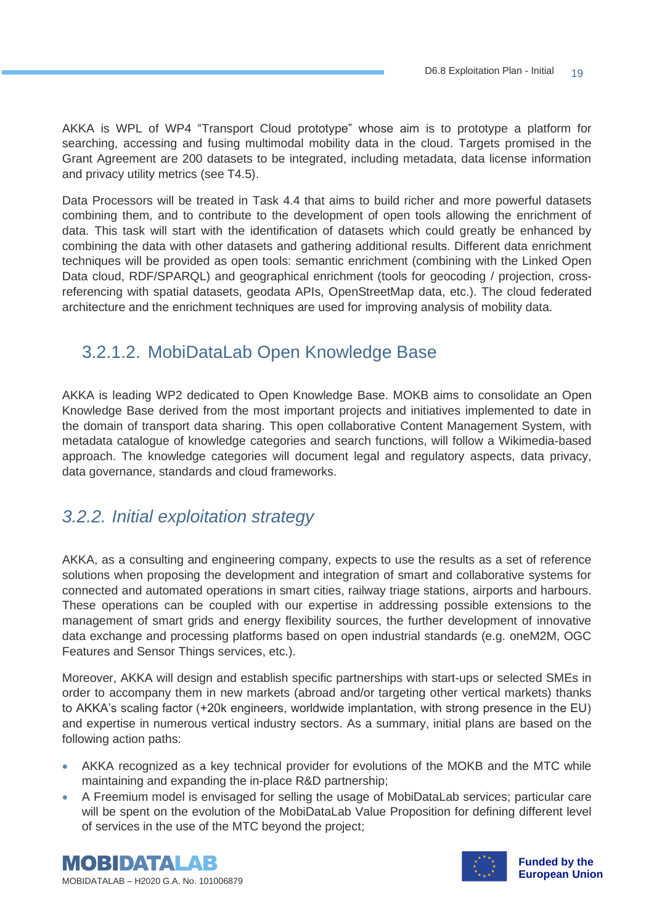AKKA is WPL of WP4 "Transport Cloud prototype" whose aim is to prototype a platform for searching, accessing and fusing multimodal mobility data in the cloud. Targets promised in the Grant Agreement are 200 datasets to be integrated, including metadata, data license information and privacy utility metrics (see T4.5).

Data Processors will be treated in Task 4.4 that aims to build richer and more powerful datasets combining them, and to contribute to the development of open tools allowing the enrichment of data. This task will start with the identification of datasets which could greatly be enhanced by combining the data with other datasets and gathering additional results. Different data enrichment techniques will be provided as open tools: semantic enrichment (combining with the Linked Open Data cloud, RDF/SPARQL) and geographical enrichment (tools for geocoding / projection, crossreferencing with spatial datasets, geodata APIs, OpenStreetMap data, etc.). The cloud federated architecture and the enrichment techniques are used for improving analysis of mobility data.

## <span id="page-18-0"></span>3.2.1.2. MobiDataLab Open Knowledge Base

AKKA is leading WP2 dedicated to Open Knowledge Base. MOKB aims to consolidate an Open Knowledge Base derived from the most important projects and initiatives implemented to date in the domain of transport data sharing. This open collaborative Content Management System, with metadata catalogue of knowledge categories and search functions, will follow a Wikimedia-based approach. The knowledge categories will document legal and regulatory aspects, data privacy, data governance, standards and cloud frameworks.

#### <span id="page-18-1"></span>*3.2.2. Initial exploitation strategy*

AKKA, as a consulting and engineering company, expects to use the results as a set of reference solutions when proposing the development and integration of smart and collaborative systems for connected and automated operations in smart cities, railway triage stations, airports and harbours. These operations can be coupled with our expertise in addressing possible extensions to the management of smart grids and energy flexibility sources, the further development of innovative data exchange and processing platforms based on open industrial standards (e.g. oneM2M, OGC Features and Sensor Things services, etc.).

Moreover, AKKA will design and establish specific partnerships with start-ups or selected SMEs in order to accompany them in new markets (abroad and/or targeting other vertical markets) thanks to AKKA's scaling factor (+20k engineers, worldwide implantation, with strong presence in the EU) and expertise in numerous vertical industry sectors. As a summary, initial plans are based on the following action paths:

- AKKA recognized as a key technical provider for evolutions of the MOKB and the MTC while maintaining and expanding the in-place R&D partnership;
- A Freemium model is envisaged for selling the usage of MobiDataLab services; particular care will be spent on the evolution of the MobiDataLab Value Proposition for defining different level of services in the use of the MTC beyond the project;



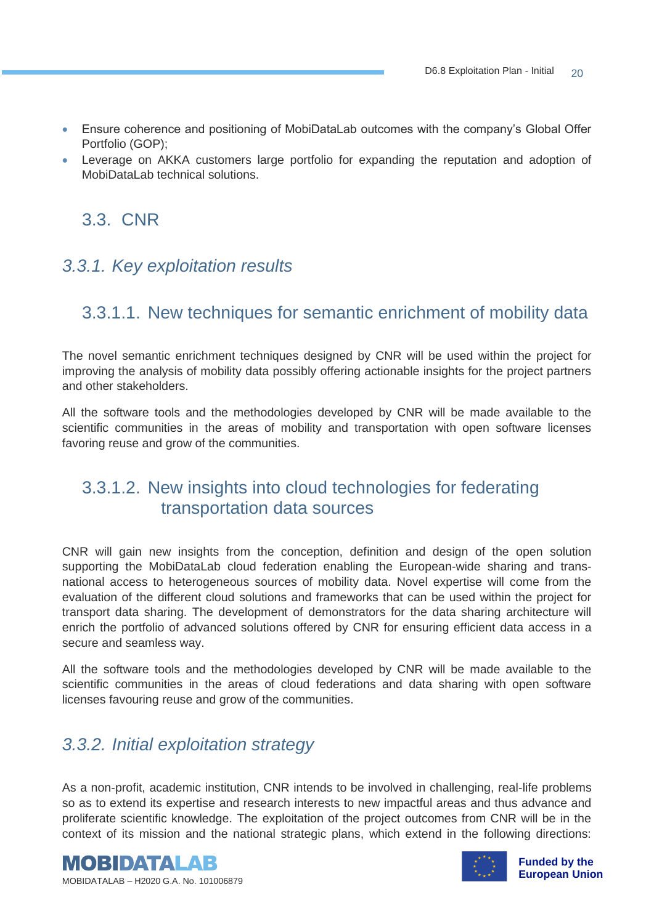- Ensure coherence and positioning of MobiDataLab outcomes with the company's Global Offer Portfolio (GOP);
- Leverage on AKKA customers large portfolio for expanding the reputation and adoption of MobiDataLab technical solutions.

## 3.3. CNR

## <span id="page-19-0"></span>*3.3.1. Key exploitation results*

## <span id="page-19-1"></span>3.3.1.1. New techniques for semantic enrichment of mobility data

The novel semantic enrichment techniques designed by CNR will be used within the project for improving the analysis of mobility data possibly offering actionable insights for the project partners and other stakeholders.

All the software tools and the methodologies developed by CNR will be made available to the scientific communities in the areas of mobility and transportation with open software licenses favoring reuse and grow of the communities.

## <span id="page-19-2"></span>3.3.1.2. New insights into cloud technologies for federating transportation data sources

CNR will gain new insights from the conception, definition and design of the open solution supporting the MobiDataLab cloud federation enabling the European-wide sharing and transnational access to heterogeneous sources of mobility data. Novel expertise will come from the evaluation of the different cloud solutions and frameworks that can be used within the project for transport data sharing. The development of demonstrators for the data sharing architecture will enrich the portfolio of advanced solutions offered by CNR for ensuring efficient data access in a secure and seamless way.

All the software tools and the methodologies developed by CNR will be made available to the scientific communities in the areas of cloud federations and data sharing with open software licenses favouring reuse and grow of the communities.

## <span id="page-19-3"></span>*3.3.2. Initial exploitation strategy*

As a non-profit, academic institution, CNR intends to be involved in challenging, real-life problems so as to extend its expertise and research interests to new impactful areas and thus advance and proliferate scientific knowledge. The exploitation of the project outcomes from CNR will be in the context of its mission and the national strategic plans, which extend in the following directions:



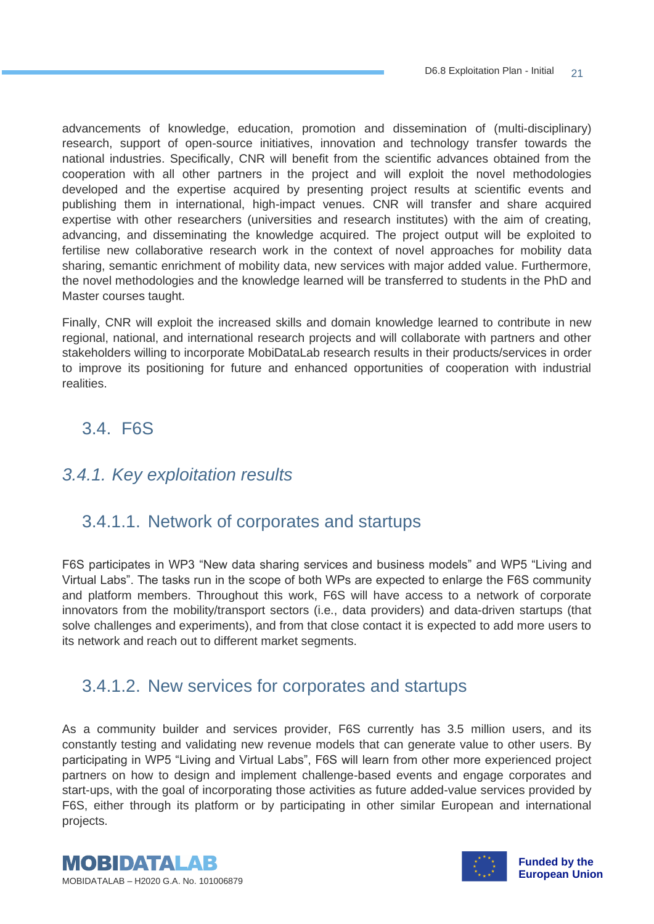advancements of knowledge, education, promotion and dissemination of (multi-disciplinary) research, support of open-source initiatives, innovation and technology transfer towards the national industries. Specifically, CNR will benefit from the scientific advances obtained from the cooperation with all other partners in the project and will exploit the novel methodologies developed and the expertise acquired by presenting project results at scientific events and publishing them in international, high-impact venues. CNR will transfer and share acquired expertise with other researchers (universities and research institutes) with the aim of creating, advancing, and disseminating the knowledge acquired. The project output will be exploited to fertilise new collaborative research work in the context of novel approaches for mobility data sharing, semantic enrichment of mobility data, new services with major added value. Furthermore, the novel methodologies and the knowledge learned will be transferred to students in the PhD and Master courses taught.

Finally, CNR will exploit the increased skills and domain knowledge learned to contribute in new regional, national, and international research projects and will collaborate with partners and other stakeholders willing to incorporate MobiDataLab research results in their products/services in order to improve its positioning for future and enhanced opportunities of cooperation with industrial realities.

## 3.4. F6S

## <span id="page-20-0"></span>*3.4.1. Key exploitation results*

## <span id="page-20-1"></span>3.4.1.1. Network of corporates and startups

F6S participates in WP3 "New data sharing services and business models" and WP5 "Living and Virtual Labs". The tasks run in the scope of both WPs are expected to enlarge the F6S community and platform members. Throughout this work, F6S will have access to a network of corporate innovators from the mobility/transport sectors (i.e., data providers) and data-driven startups (that solve challenges and experiments), and from that close contact it is expected to add more users to its network and reach out to different market segments.

#### <span id="page-20-2"></span>3.4.1.2. New services for corporates and startups

As a community builder and services provider, F6S currently has 3.5 million users, and its constantly testing and validating new revenue models that can generate value to other users. By participating in WP5 "Living and Virtual Labs", F6S will learn from other more experienced project partners on how to design and implement challenge-based events and engage corporates and start-ups, with the goal of incorporating those activities as future added-value services provided by F6S, either through its platform or by participating in other similar European and international projects.



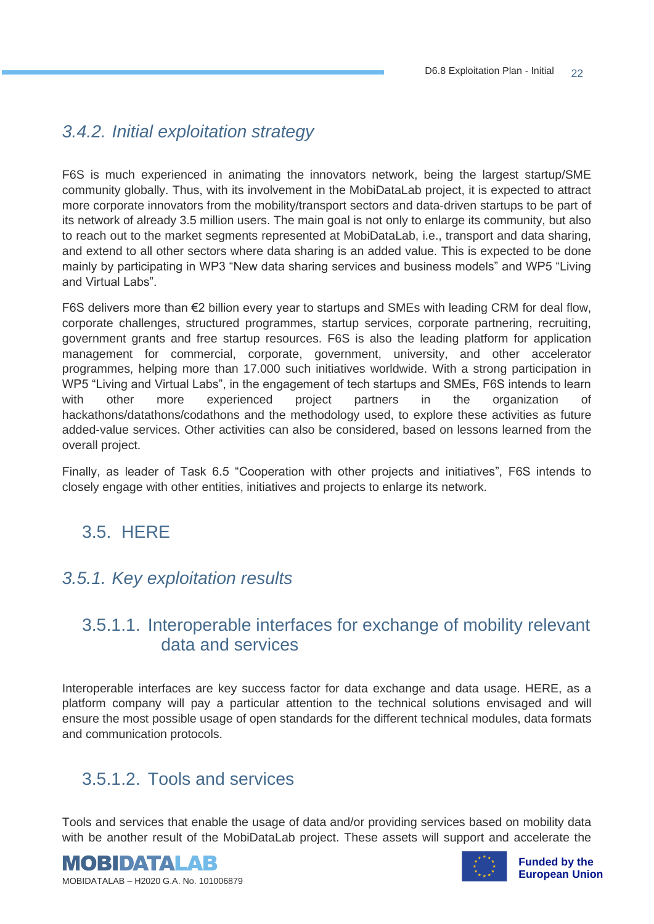## <span id="page-21-0"></span>*3.4.2. Initial exploitation strategy*

F6S is much experienced in animating the innovators network, being the largest startup/SME community globally. Thus, with its involvement in the MobiDataLab project, it is expected to attract more corporate innovators from the mobility/transport sectors and data-driven startups to be part of its network of already 3.5 million users. The main goal is not only to enlarge its community, but also to reach out to the market segments represented at MobiDataLab, i.e., transport and data sharing, and extend to all other sectors where data sharing is an added value. This is expected to be done mainly by participating in WP3 "New data sharing services and business models" and WP5 "Living and Virtual Labs".

F6S delivers more than €2 billion every year to startups and SMEs with leading CRM for deal flow, corporate challenges, structured programmes, startup services, corporate partnering, recruiting, government grants and free startup resources. F6S is also the leading platform for application management for commercial, corporate, government, university, and other accelerator programmes, helping more than 17.000 such initiatives worldwide. With a strong participation in WP5 "Living and Virtual Labs", in the engagement of tech startups and SMEs, F6S intends to learn with other more experienced project partners in the organization of hackathons/datathons/codathons and the methodology used, to explore these activities as future added-value services. Other activities can also be considered, based on lessons learned from the overall project.

Finally, as leader of Task 6.5 "Cooperation with other projects and initiatives", F6S intends to closely engage with other entities, initiatives and projects to enlarge its network.

## 3.5. HERE

## <span id="page-21-1"></span>*3.5.1. Key exploitation results*

## <span id="page-21-2"></span>3.5.1.1. Interoperable interfaces for exchange of mobility relevant data and services

Interoperable interfaces are key success factor for data exchange and data usage. HERE, as a platform company will pay a particular attention to the technical solutions envisaged and will ensure the most possible usage of open standards for the different technical modules, data formats and communication protocols.

## <span id="page-21-3"></span>3.5.1.2. Tools and services

Tools and services that enable the usage of data and/or providing services based on mobility data with be another result of the MobiDataLab project. These assets will support and accelerate the



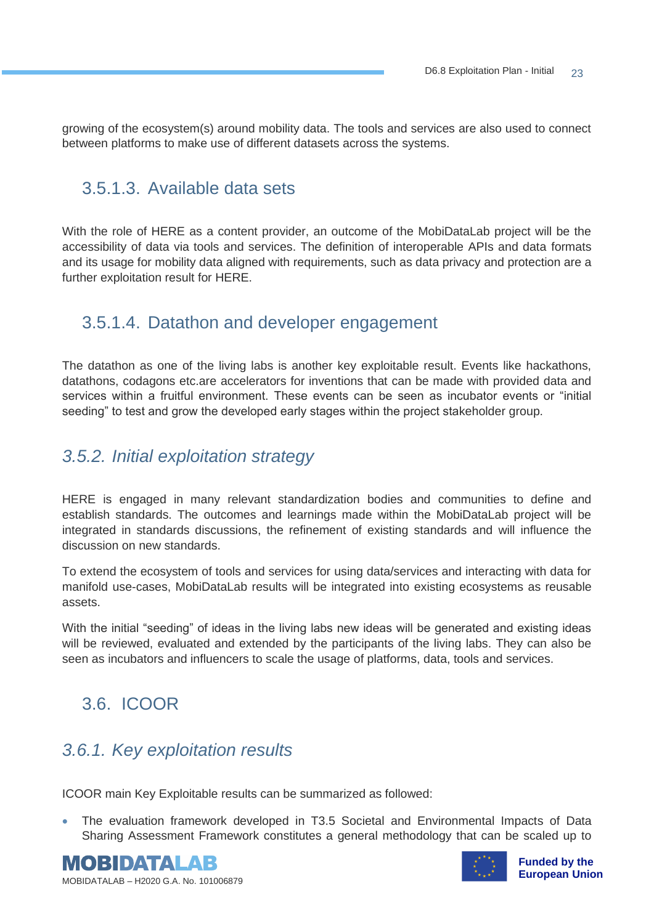growing of the ecosystem(s) around mobility data. The tools and services are also used to connect between platforms to make use of different datasets across the systems.

## <span id="page-22-0"></span>3.5.1.3. Available data sets

With the role of HERE as a content provider, an outcome of the MobiDataLab project will be the accessibility of data via tools and services. The definition of interoperable APIs and data formats and its usage for mobility data aligned with requirements, such as data privacy and protection are a further exploitation result for HERE.

#### <span id="page-22-1"></span>3.5.1.4. Datathon and developer engagement

The datathon as one of the living labs is another key exploitable result. Events like hackathons, datathons, codagons etc.are accelerators for inventions that can be made with provided data and services within a fruitful environment. These events can be seen as incubator events or "initial seeding" to test and grow the developed early stages within the project stakeholder group.

#### <span id="page-22-2"></span>*3.5.2. Initial exploitation strategy*

HERE is engaged in many relevant standardization bodies and communities to define and establish standards. The outcomes and learnings made within the MobiDataLab project will be integrated in standards discussions, the refinement of existing standards and will influence the discussion on new standards.

To extend the ecosystem of tools and services for using data/services and interacting with data for manifold use-cases, MobiDataLab results will be integrated into existing ecosystems as reusable assets.

With the initial "seeding" of ideas in the living labs new ideas will be generated and existing ideas will be reviewed, evaluated and extended by the participants of the living labs. They can also be seen as incubators and influencers to scale the usage of platforms, data, tools and services.

## 3.6. ICOOR

## <span id="page-22-3"></span>*3.6.1. Key exploitation results*

ICOOR main Key Exploitable results can be summarized as followed:

• The evaluation framework developed in T3.5 Societal and Environmental Impacts of Data Sharing Assessment Framework constitutes a general methodology that can be scaled up to



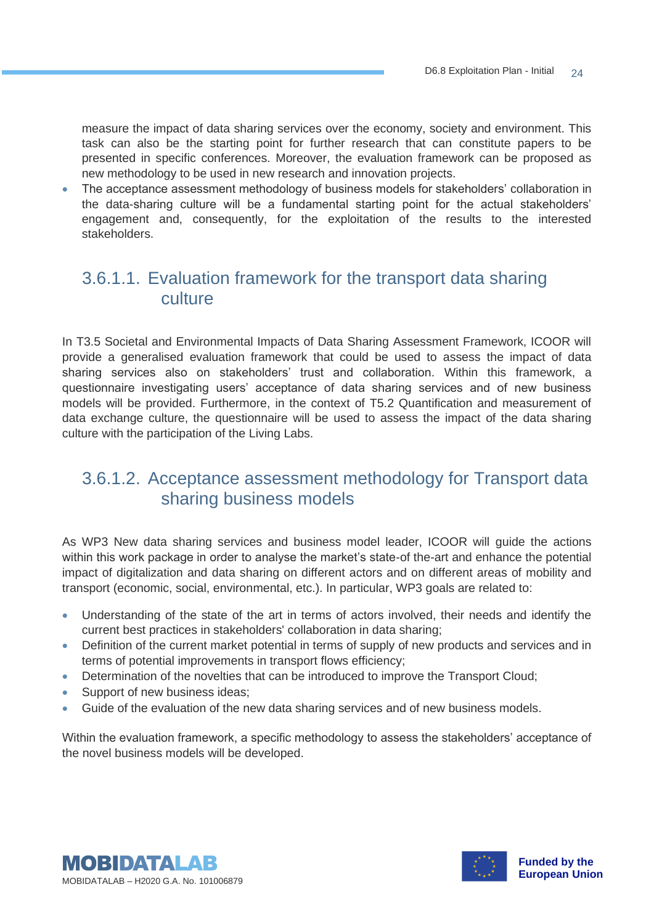measure the impact of data sharing services over the economy, society and environment. This task can also be the starting point for further research that can constitute papers to be presented in specific conferences. Moreover, the evaluation framework can be proposed as new methodology to be used in new research and innovation projects.

• The acceptance assessment methodology of business models for stakeholders' collaboration in the data-sharing culture will be a fundamental starting point for the actual stakeholders' engagement and, consequently, for the exploitation of the results to the interested stakeholders.

## <span id="page-23-0"></span>3.6.1.1. Evaluation framework for the transport data sharing culture

In T3.5 Societal and Environmental Impacts of Data Sharing Assessment Framework, ICOOR will provide a generalised evaluation framework that could be used to assess the impact of data sharing services also on stakeholders' trust and collaboration. Within this framework, a questionnaire investigating users' acceptance of data sharing services and of new business models will be provided. Furthermore, in the context of T5.2 Quantification and measurement of data exchange culture, the questionnaire will be used to assess the impact of the data sharing culture with the participation of the Living Labs.

#### <span id="page-23-1"></span>3.6.1.2. Acceptance assessment methodology for Transport data sharing business models

As WP3 New data sharing services and business model leader, ICOOR will guide the actions within this work package in order to analyse the market's state-of the-art and enhance the potential impact of digitalization and data sharing on different actors and on different areas of mobility and transport (economic, social, environmental, etc.). In particular, WP3 goals are related to:

- Understanding of the state of the art in terms of actors involved, their needs and identify the current best practices in stakeholders' collaboration in data sharing;
- Definition of the current market potential in terms of supply of new products and services and in terms of potential improvements in transport flows efficiency;
- Determination of the novelties that can be introduced to improve the Transport Cloud;
- Support of new business ideas;
- Guide of the evaluation of the new data sharing services and of new business models.

Within the evaluation framework, a specific methodology to assess the stakeholders' acceptance of the novel business models will be developed.



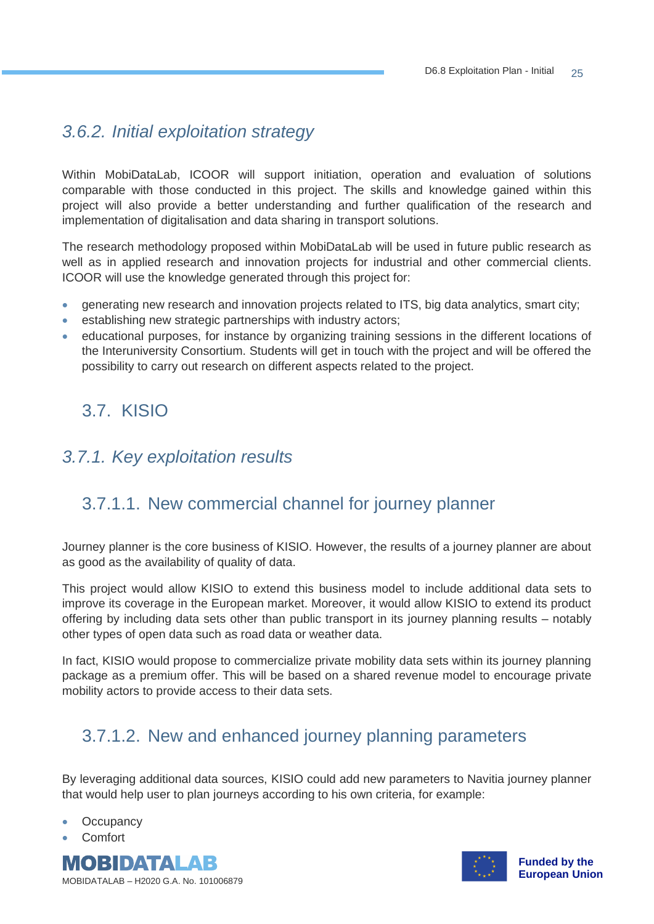## <span id="page-24-0"></span>*3.6.2. Initial exploitation strategy*

Within MobiDataLab, ICOOR will support initiation, operation and evaluation of solutions comparable with those conducted in this project. The skills and knowledge gained within this project will also provide a better understanding and further qualification of the research and implementation of digitalisation and data sharing in transport solutions.

The research methodology proposed within MobiDataLab will be used in future public research as well as in applied research and innovation projects for industrial and other commercial clients. ICOOR will use the knowledge generated through this project for:

- generating new research and innovation projects related to ITS, big data analytics, smart city;
- establishing new strategic partnerships with industry actors;
- educational purposes, for instance by organizing training sessions in the different locations of the Interuniversity Consortium. Students will get in touch with the project and will be offered the possibility to carry out research on different aspects related to the project.

## 3.7. KISIO

## <span id="page-24-1"></span>*3.7.1. Key exploitation results*

## <span id="page-24-2"></span>3.7.1.1. New commercial channel for journey planner

Journey planner is the core business of KISIO. However, the results of a journey planner are about as good as the availability of quality of data.

This project would allow KISIO to extend this business model to include additional data sets to improve its coverage in the European market. Moreover, it would allow KISIO to extend its product offering by including data sets other than public transport in its journey planning results – notably other types of open data such as road data or weather data.

In fact, KISIO would propose to commercialize private mobility data sets within its journey planning package as a premium offer. This will be based on a shared revenue model to encourage private mobility actors to provide access to their data sets.

## <span id="page-24-3"></span>3.7.1.2. New and enhanced journey planning parameters

By leveraging additional data sources, KISIO could add new parameters to Navitia journey planner that would help user to plan journeys according to his own criteria, for example:

- **Occupancy**
- Comfort



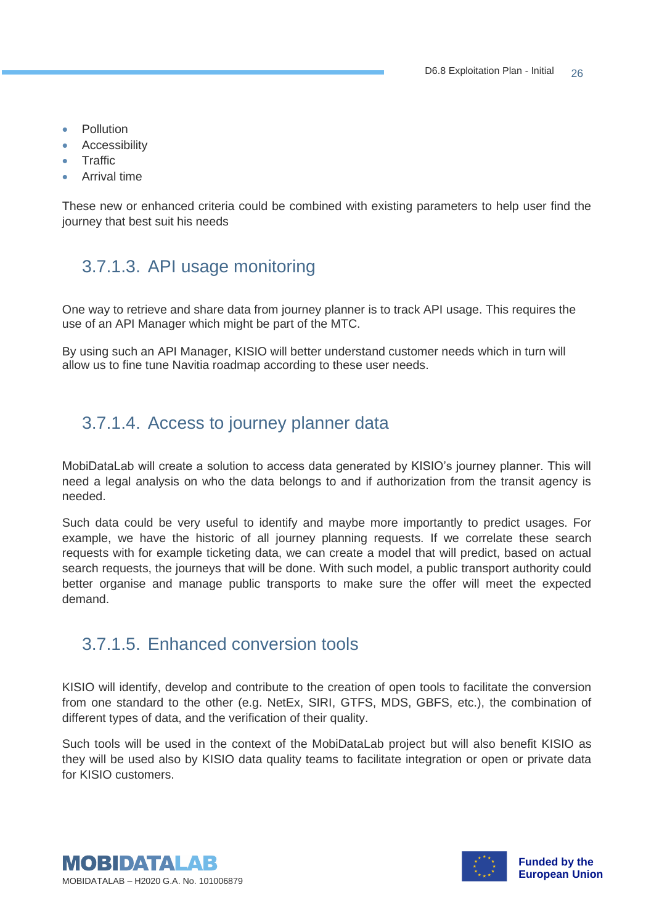- Pollution
- Accessibility
- Traffic
- Arrival time

These new or enhanced criteria could be combined with existing parameters to help user find the journey that best suit his needs

## <span id="page-25-0"></span>3.7.1.3. API usage monitoring

One way to retrieve and share data from journey planner is to track API usage. This requires the use of an API Manager which might be part of the MTC.

By using such an API Manager, KISIO will better understand customer needs which in turn will allow us to fine tune Navitia roadmap according to these user needs.

## <span id="page-25-1"></span>3.7.1.4. Access to journey planner data

MobiDataLab will create a solution to access data generated by KISIO's journey planner. This will need a legal analysis on who the data belongs to and if authorization from the transit agency is needed.

Such data could be very useful to identify and maybe more importantly to predict usages. For example, we have the historic of all journey planning requests. If we correlate these search requests with for example ticketing data, we can create a model that will predict, based on actual search requests, the journeys that will be done. With such model, a public transport authority could better organise and manage public transports to make sure the offer will meet the expected demand.

## <span id="page-25-2"></span>3.7.1.5. Enhanced conversion tools

KISIO will identify, develop and contribute to the creation of open tools to facilitate the conversion from one standard to the other (e.g. NetEx, SIRI, GTFS, MDS, GBFS, etc.), the combination of different types of data, and the verification of their quality.

Such tools will be used in the context of the MobiDataLab project but will also benefit KISIO as they will be used also by KISIO data quality teams to facilitate integration or open or private data for KISIO customers.



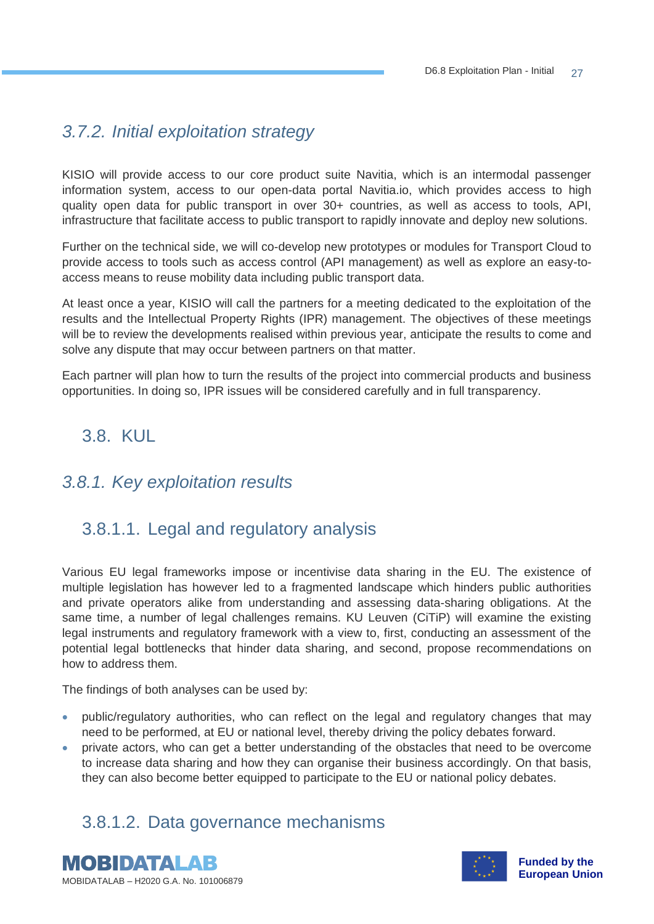## <span id="page-26-0"></span>*3.7.2. Initial exploitation strategy*

KISIO will provide access to our core product suite Navitia, which is an intermodal passenger information system, access to our open-data portal Navitia.io, which provides access to high quality open data for public transport in over 30+ countries, as well as access to tools, API, infrastructure that facilitate access to public transport to rapidly innovate and deploy new solutions.

Further on the technical side, we will co-develop new prototypes or modules for Transport Cloud to provide access to tools such as access control (API management) as well as explore an easy-toaccess means to reuse mobility data including public transport data.

At least once a year, KISIO will call the partners for a meeting dedicated to the exploitation of the results and the Intellectual Property Rights (IPR) management. The objectives of these meetings will be to review the developments realised within previous year, anticipate the results to come and solve any dispute that may occur between partners on that matter.

Each partner will plan how to turn the results of the project into commercial products and business opportunities. In doing so, IPR issues will be considered carefully and in full transparency.

## 3.8. KUL

## <span id="page-26-1"></span>*3.8.1. Key exploitation results*

## <span id="page-26-2"></span>3.8.1.1. Legal and regulatory analysis

Various EU legal frameworks impose or incentivise data sharing in the EU. The existence of multiple legislation has however led to a fragmented landscape which hinders public authorities and private operators alike from understanding and assessing data-sharing obligations. At the same time, a number of legal challenges remains. KU Leuven (CiTiP) will examine the existing legal instruments and regulatory framework with a view to, first, conducting an assessment of the potential legal bottlenecks that hinder data sharing, and second, propose recommendations on how to address them.

The findings of both analyses can be used by:

- public/regulatory authorities, who can reflect on the legal and regulatory changes that may need to be performed, at EU or national level, thereby driving the policy debates forward.
- private actors, who can get a better understanding of the obstacles that need to be overcome to increase data sharing and how they can organise their business accordingly. On that basis, they can also become better equipped to participate to the EU or national policy debates.

## <span id="page-26-3"></span>3.8.1.2. Data governance mechanisms



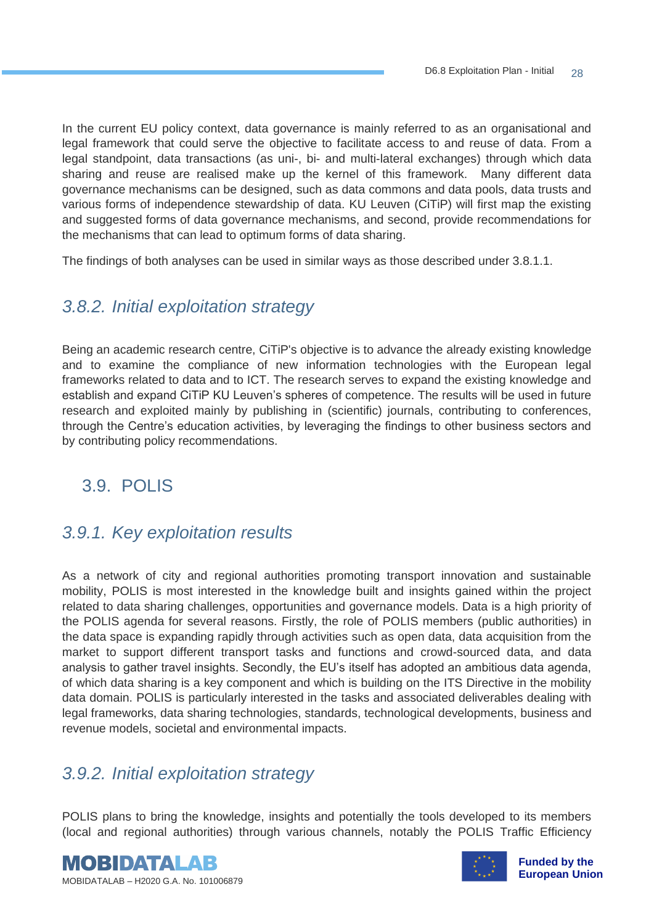In the current EU policy context, data governance is mainly referred to as an organisational and legal framework that could serve the objective to facilitate access to and reuse of data. From a legal standpoint, data transactions (as uni-, bi- and multi-lateral exchanges) through which data sharing and reuse are realised make up the kernel of this framework. Many different data governance mechanisms can be designed, such as data commons and data pools, data trusts and various forms of independence stewardship of data. KU Leuven (CiTiP) will first map the existing and suggested forms of data governance mechanisms, and second, provide recommendations for the mechanisms that can lead to optimum forms of data sharing.

The findings of both analyses can be used in similar ways as those described under 3.8.1.1.

#### <span id="page-27-0"></span>*3.8.2. Initial exploitation strategy*

Being an academic research centre, CiTiP's objective is to advance the already existing knowledge and to examine the compliance of new information technologies with the European legal frameworks related to data and to ICT. The research serves to expand the existing knowledge and establish and expand CiTiP KU Leuven's spheres of competence. The results will be used in future research and exploited mainly by publishing in (scientific) journals, contributing to conferences, through the Centre's education activities, by leveraging the findings to other business sectors and by contributing policy recommendations.

## 3.9. POLIS

#### <span id="page-27-1"></span>*3.9.1. Key exploitation results*

As a network of city and regional authorities promoting transport innovation and sustainable mobility, POLIS is most interested in the knowledge built and insights gained within the project related to data sharing challenges, opportunities and governance models. Data is a high priority of the POLIS agenda for several reasons. Firstly, the role of POLIS members (public authorities) in the data space is expanding rapidly through activities such as open data, data acquisition from the market to support different transport tasks and functions and crowd-sourced data, and data analysis to gather travel insights. Secondly, the EU's itself has adopted an ambitious data agenda, of which data sharing is a key component and which is building on the ITS Directive in the mobility data domain. POLIS is particularly interested in the tasks and associated deliverables dealing with legal frameworks, data sharing technologies, standards, technological developments, business and revenue models, societal and environmental impacts.

#### <span id="page-27-2"></span>*3.9.2. Initial exploitation strategy*

POLIS plans to bring the knowledge, insights and potentially the tools developed to its members (local and regional authorities) through various channels, notably the POLIS Traffic Efficiency



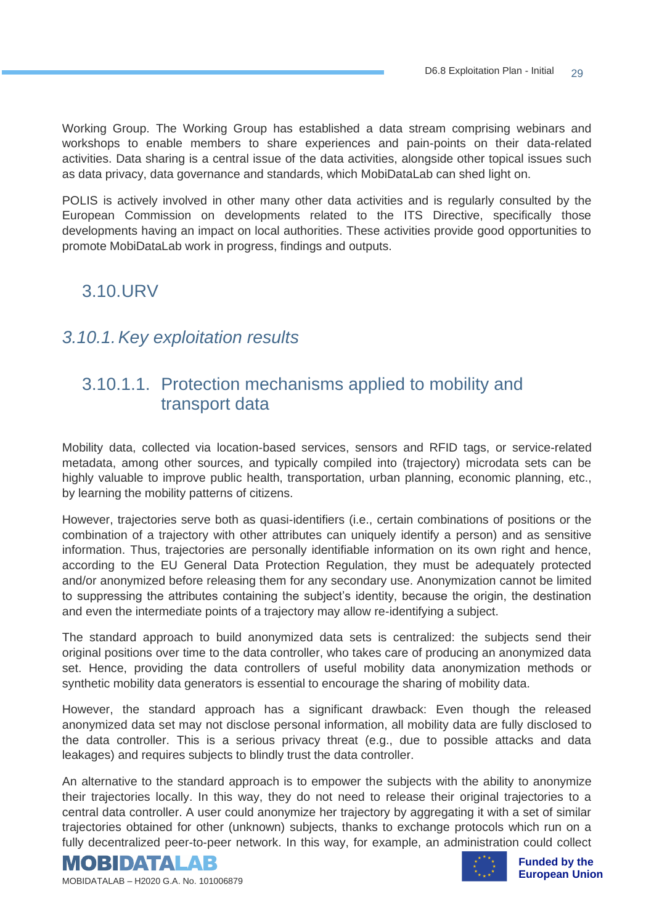Working Group. The Working Group has established a data stream comprising webinars and workshops to enable members to share experiences and pain-points on their data-related activities. Data sharing is a central issue of the data activities, alongside other topical issues such as data privacy, data governance and standards, which MobiDataLab can shed light on.

POLIS is actively involved in other many other data activities and is regularly consulted by the European Commission on developments related to the ITS Directive, specifically those developments having an impact on local authorities. These activities provide good opportunities to promote MobiDataLab work in progress, findings and outputs.

## 3.10.URV

#### <span id="page-28-0"></span>*3.10.1.Key exploitation results*

## <span id="page-28-1"></span>3.10.1.1. Protection mechanisms applied to mobility and transport data

Mobility data, collected via location-based services, sensors and RFID tags, or service-related metadata, among other sources, and typically compiled into (trajectory) microdata sets can be highly valuable to improve public health, transportation, urban planning, economic planning, etc., by learning the mobility patterns of citizens.

However, trajectories serve both as quasi-identifiers (i.e., certain combinations of positions or the combination of a trajectory with other attributes can uniquely identify a person) and as sensitive information. Thus, trajectories are personally identifiable information on its own right and hence, according to the EU General Data Protection Regulation, they must be adequately protected and/or anonymized before releasing them for any secondary use. Anonymization cannot be limited to suppressing the attributes containing the subject's identity, because the origin, the destination and even the intermediate points of a trajectory may allow re-identifying a subject.

The standard approach to build anonymized data sets is centralized: the subjects send their original positions over time to the data controller, who takes care of producing an anonymized data set. Hence, providing the data controllers of useful mobility data anonymization methods or synthetic mobility data generators is essential to encourage the sharing of mobility data.

However, the standard approach has a significant drawback: Even though the released anonymized data set may not disclose personal information, all mobility data are fully disclosed to the data controller. This is a serious privacy threat (e.g., due to possible attacks and data leakages) and requires subjects to blindly trust the data controller.

An alternative to the standard approach is to empower the subjects with the ability to anonymize their trajectories locally. In this way, they do not need to release their original trajectories to a central data controller. A user could anonymize her trajectory by aggregating it with a set of similar trajectories obtained for other (unknown) subjects, thanks to exchange protocols which run on a fully decentralized peer-to-peer network. In this way, for example, an administration could collect



**Funded by the European Union**

MOBIDATALAB – H2020 G.A. No. 101006879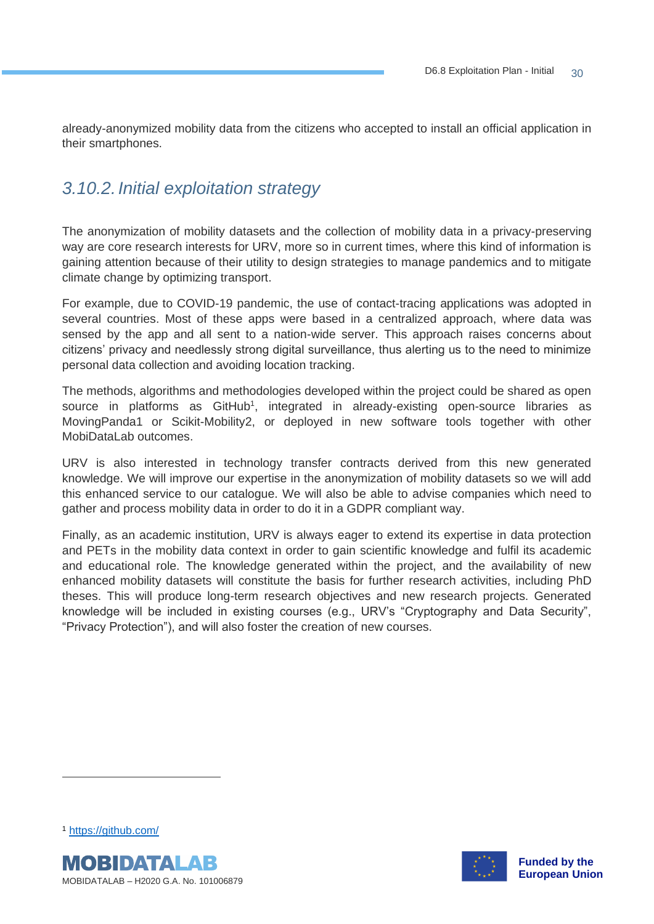already-anonymized mobility data from the citizens who accepted to install an official application in their smartphones.

## <span id="page-29-0"></span>*3.10.2.Initial exploitation strategy*

The anonymization of mobility datasets and the collection of mobility data in a privacy-preserving way are core research interests for URV, more so in current times, where this kind of information is gaining attention because of their utility to design strategies to manage pandemics and to mitigate climate change by optimizing transport.

For example, due to COVID-19 pandemic, the use of contact-tracing applications was adopted in several countries. Most of these apps were based in a centralized approach, where data was sensed by the app and all sent to a nation-wide server. This approach raises concerns about citizens' privacy and needlessly strong digital surveillance, thus alerting us to the need to minimize personal data collection and avoiding location tracking.

The methods, algorithms and methodologies developed within the project could be shared as open source in platforms as GitHub<sup>1</sup>, integrated in already-existing open-source libraries as MovingPanda1 or Scikit-Mobility2, or deployed in new software tools together with other MobiDataLab outcomes.

URV is also interested in technology transfer contracts derived from this new generated knowledge. We will improve our expertise in the anonymization of mobility datasets so we will add this enhanced service to our catalogue. We will also be able to advise companies which need to gather and process mobility data in order to do it in a GDPR compliant way.

Finally, as an academic institution, URV is always eager to extend its expertise in data protection and PETs in the mobility data context in order to gain scientific knowledge and fulfil its academic and educational role. The knowledge generated within the project, and the availability of new enhanced mobility datasets will constitute the basis for further research activities, including PhD theses. This will produce long-term research objectives and new research projects. Generated knowledge will be included in existing courses (e.g., URV's "Cryptography and Data Security", "Privacy Protection"), and will also foster the creation of new courses.

<sup>1</sup> <https://github.com/>



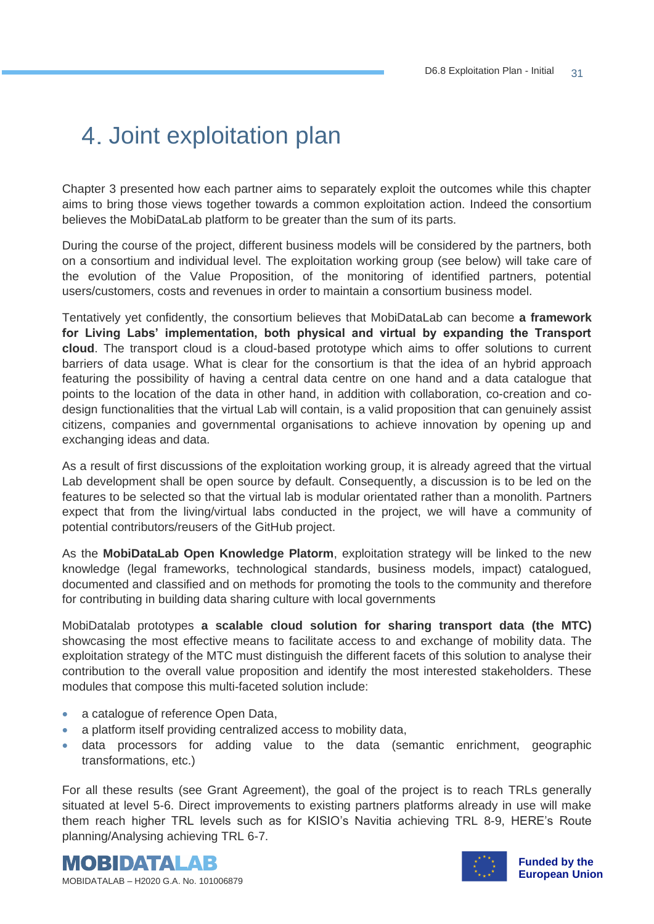## 4. Joint exploitation plan

Chapter 3 presented how each partner aims to separately exploit the outcomes while this chapter aims to bring those views together towards a common exploitation action. Indeed the consortium believes the MobiDataLab platform to be greater than the sum of its parts.

During the course of the project, different business models will be considered by the partners, both on a consortium and individual level. The exploitation working group (see below) will take care of the evolution of the Value Proposition, of the monitoring of identified partners, potential users/customers, costs and revenues in order to maintain a consortium business model.

Tentatively yet confidently, the consortium believes that MobiDataLab can become **a framework for Living Labs' implementation, both physical and virtual by expanding the Transport cloud**. The transport cloud is a cloud-based prototype which aims to offer solutions to current barriers of data usage. What is clear for the consortium is that the idea of an hybrid approach featuring the possibility of having a central data centre on one hand and a data catalogue that points to the location of the data in other hand, in addition with collaboration, co-creation and codesign functionalities that the virtual Lab will contain, is a valid proposition that can genuinely assist citizens, companies and governmental organisations to achieve innovation by opening up and exchanging ideas and data.

As a result of first discussions of the exploitation working group, it is already agreed that the virtual Lab development shall be open source by default. Consequently, a discussion is to be led on the features to be selected so that the virtual lab is modular orientated rather than a monolith. Partners expect that from the living/virtual labs conducted in the project, we will have a community of potential contributors/reusers of the GitHub project.

As the **MobiDataLab Open Knowledge Platorm**, exploitation strategy will be linked to the new knowledge (legal frameworks, technological standards, business models, impact) catalogued, documented and classified and on methods for promoting the tools to the community and therefore for contributing in building data sharing culture with local governments

MobiDatalab prototypes **a scalable cloud solution for sharing transport data (the MTC)** showcasing the most effective means to facilitate access to and exchange of mobility data. The exploitation strategy of the MTC must distinguish the different facets of this solution to analyse their contribution to the overall value proposition and identify the most interested stakeholders. These modules that compose this multi-faceted solution include:

- a catalogue of reference Open Data,
- a platform itself providing centralized access to mobility data,
- data processors for adding value to the data (semantic enrichment, geographic transformations, etc.)

For all these results (see Grant Agreement), the goal of the project is to reach TRLs generally situated at level 5-6. Direct improvements to existing partners platforms already in use will make them reach higher TRL levels such as for KISIO's Navitia achieving TRL 8-9, HERE's Route planning/Analysing achieving TRL 6-7.



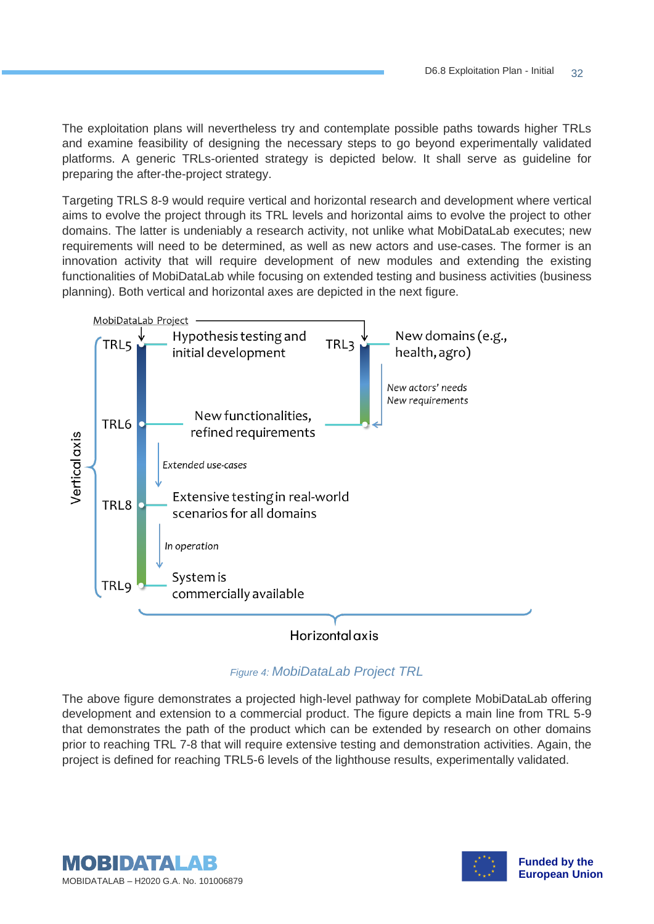The exploitation plans will nevertheless try and contemplate possible paths towards higher TRLs and examine feasibility of designing the necessary steps to go beyond experimentally validated platforms. A generic TRLs-oriented strategy is depicted below. It shall serve as guideline for preparing the after-the-project strategy.

Targeting TRLS 8-9 would require vertical and horizontal research and development where vertical aims to evolve the project through its TRL levels and horizontal aims to evolve the project to other domains. The latter is undeniably a research activity, not unlike what MobiDataLab executes; new requirements will need to be determined, as well as new actors and use-cases. The former is an innovation activity that will require development of new modules and extending the existing functionalities of MobiDataLab while focusing on extended testing and business activities (business planning). Both vertical and horizontal axes are depicted in the next figure.



*Figure 4: MobiDataLab Project TRL*

<span id="page-31-0"></span>The above figure demonstrates a projected high-level pathway for complete MobiDataLab offering development and extension to a commercial product. The figure depicts a main line from TRL 5-9 that demonstrates the path of the product which can be extended by research on other domains prior to reaching TRL 7-8 that will require extensive testing and demonstration activities. Again, the project is defined for reaching TRL5-6 levels of the lighthouse results, experimentally validated.



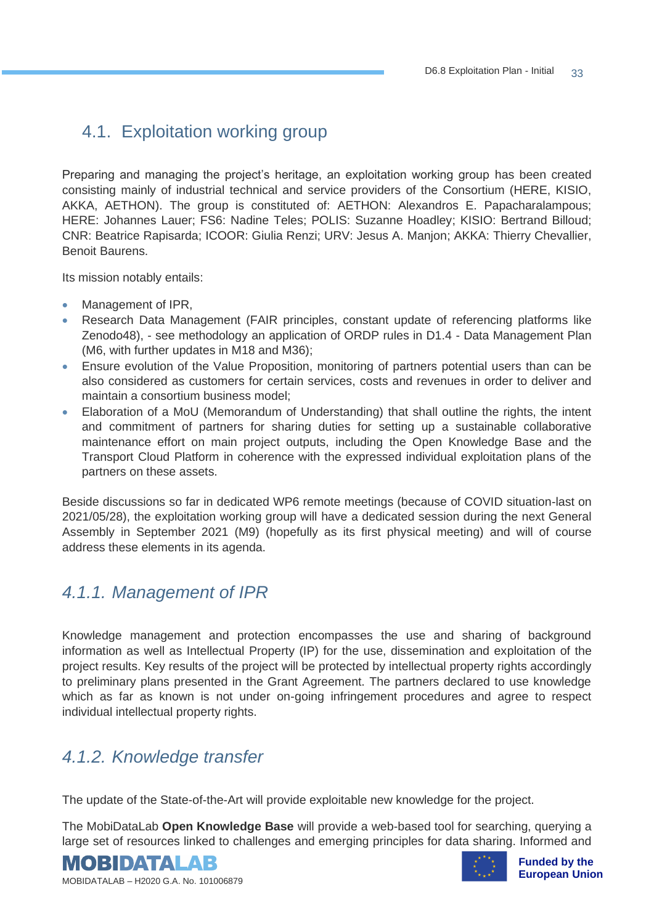## 4.1. Exploitation working group

Preparing and managing the project's heritage, an exploitation working group has been created consisting mainly of industrial technical and service providers of the Consortium (HERE, KISIO, AKKA, AETHON). The group is constituted of: AETHON: Alexandros E. Papacharalampous; HERE: Johannes Lauer; FS6: Nadine Teles; POLIS: Suzanne Hoadley; KISIO: Bertrand Billoud; CNR: Beatrice Rapisarda; ICOOR: Giulia Renzi; URV: Jesus A. Manjon; AKKA: Thierry Chevallier, Benoit Baurens.

Its mission notably entails:

- Management of IPR,
- Research Data Management (FAIR principles, constant update of referencing platforms like Zenodo48), - see methodology an application of ORDP rules in D1.4 - Data Management Plan (M6, with further updates in M18 and M36);
- Ensure evolution of the Value Proposition, monitoring of partners potential users than can be also considered as customers for certain services, costs and revenues in order to deliver and maintain a consortium business model;
- Elaboration of a MoU (Memorandum of Understanding) that shall outline the rights, the intent and commitment of partners for sharing duties for setting up a sustainable collaborative maintenance effort on main project outputs, including the Open Knowledge Base and the Transport Cloud Platform in coherence with the expressed individual exploitation plans of the partners on these assets.

Beside discussions so far in dedicated WP6 remote meetings (because of COVID situation-last on 2021/05/28), the exploitation working group will have a dedicated session during the next General Assembly in September 2021 (M9) (hopefully as its first physical meeting) and will of course address these elements in its agenda.

#### <span id="page-32-0"></span>*4.1.1. Management of IPR*

Knowledge management and protection encompasses the use and sharing of background information as well as Intellectual Property (IP) for the use, dissemination and exploitation of the project results. Key results of the project will be protected by intellectual property rights accordingly to preliminary plans presented in the Grant Agreement. The partners declared to use knowledge which as far as known is not under on-going infringement procedures and agree to respect individual intellectual property rights.

## <span id="page-32-1"></span>*4.1.2. Knowledge transfer*

The update of the State-of-the-Art will provide exploitable new knowledge for the project.

The MobiDataLab **Open Knowledge Base** will provide a web-based tool for searching, querying a large set of resources linked to challenges and emerging principles for data sharing. Informed and





**Funded by the European Union**

MOBIDATALAB – H2020 G.A. No. 101006879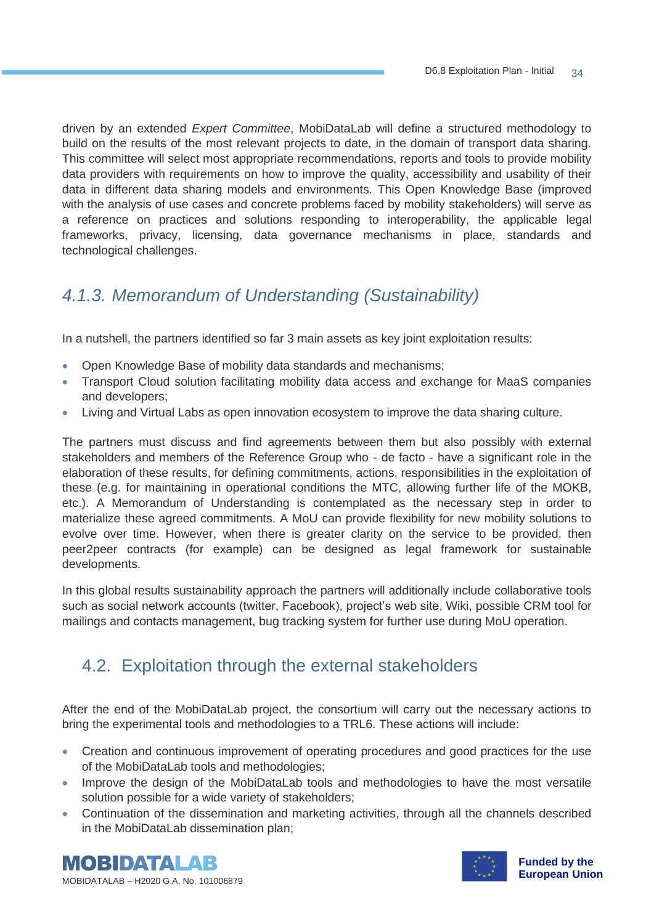driven by an extended *Expert Committee*, MobiDataLab will define a structured methodology to build on the results of the most relevant projects to date, in the domain of transport data sharing. This committee will select most appropriate recommendations, reports and tools to provide mobility data providers with requirements on how to improve the quality, accessibility and usability of their data in different data sharing models and environments. This Open Knowledge Base (improved with the analysis of use cases and concrete problems faced by mobility stakeholders) will serve as a reference on practices and solutions responding to interoperability, the applicable legal frameworks, privacy, licensing, data governance mechanisms in place, standards and technological challenges.

## <span id="page-33-0"></span>*4.1.3. Memorandum of Understanding (Sustainability)*

In a nutshell, the partners identified so far 3 main assets as key joint exploitation results:

- Open Knowledge Base of mobility data standards and mechanisms;
- Transport Cloud solution facilitating mobility data access and exchange for MaaS companies and developers;
- Living and Virtual Labs as open innovation ecosystem to improve the data sharing culture.

The partners must discuss and find agreements between them but also possibly with external stakeholders and members of the Reference Group who - de facto - have a significant role in the elaboration of these results, for defining commitments, actions, responsibilities in the exploitation of these (e.g. for maintaining in operational conditions the MTC, allowing further life of the MOKB, etc.). A Memorandum of Understanding is contemplated as the necessary step in order to materialize these agreed commitments. A MoU can provide flexibility for new mobility solutions to evolve over time. However, when there is greater clarity on the service to be provided, then peer2peer contracts (for example) can be designed as legal framework for sustainable developments.

In this global results sustainability approach the partners will additionally include collaborative tools such as social network accounts (twitter, Facebook), project's web site, Wiki, possible CRM tool for mailings and contacts management, bug tracking system for further use during MoU operation.

## 4.2. Exploitation through the external stakeholders

After the end of the MobiDataLab project, the consortium will carry out the necessary actions to bring the experimental tools and methodologies to a TRL6. These actions will include:

- Creation and continuous improvement of operating procedures and good practices for the use of the MobiDataLab tools and methodologies;
- Improve the design of the MobiDataLab tools and methodologies to have the most versatile solution possible for a wide variety of stakeholders;
- Continuation of the dissemination and marketing activities, through all the channels described in the MobiDataLab dissemination plan;



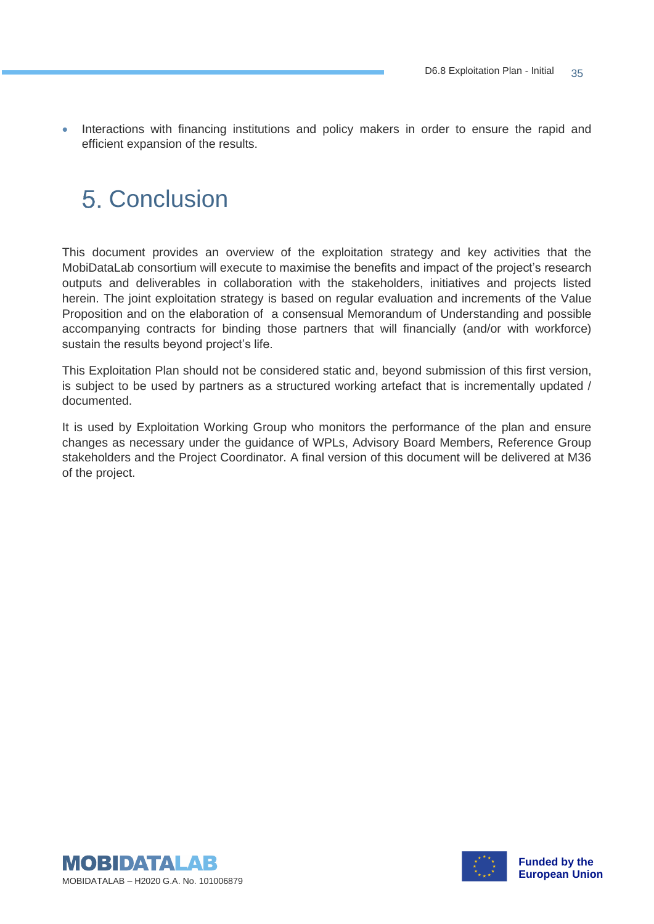• Interactions with financing institutions and policy makers in order to ensure the rapid and efficient expansion of the results.

## 5 Conclusion

This document provides an overview of the exploitation strategy and key activities that the MobiDataLab consortium will execute to maximise the benefits and impact of the project's research outputs and deliverables in collaboration with the stakeholders, initiatives and projects listed herein. The joint exploitation strategy is based on regular evaluation and increments of the Value Proposition and on the elaboration of a consensual Memorandum of Understanding and possible accompanying contracts for binding those partners that will financially (and/or with workforce) sustain the results beyond project's life.

This Exploitation Plan should not be considered static and, beyond submission of this first version, is subject to be used by partners as a structured working artefact that is incrementally updated / documented.

It is used by Exploitation Working Group who monitors the performance of the plan and ensure changes as necessary under the guidance of WPLs, Advisory Board Members, Reference Group stakeholders and the Project Coordinator. A final version of this document will be delivered at M36 of the project.